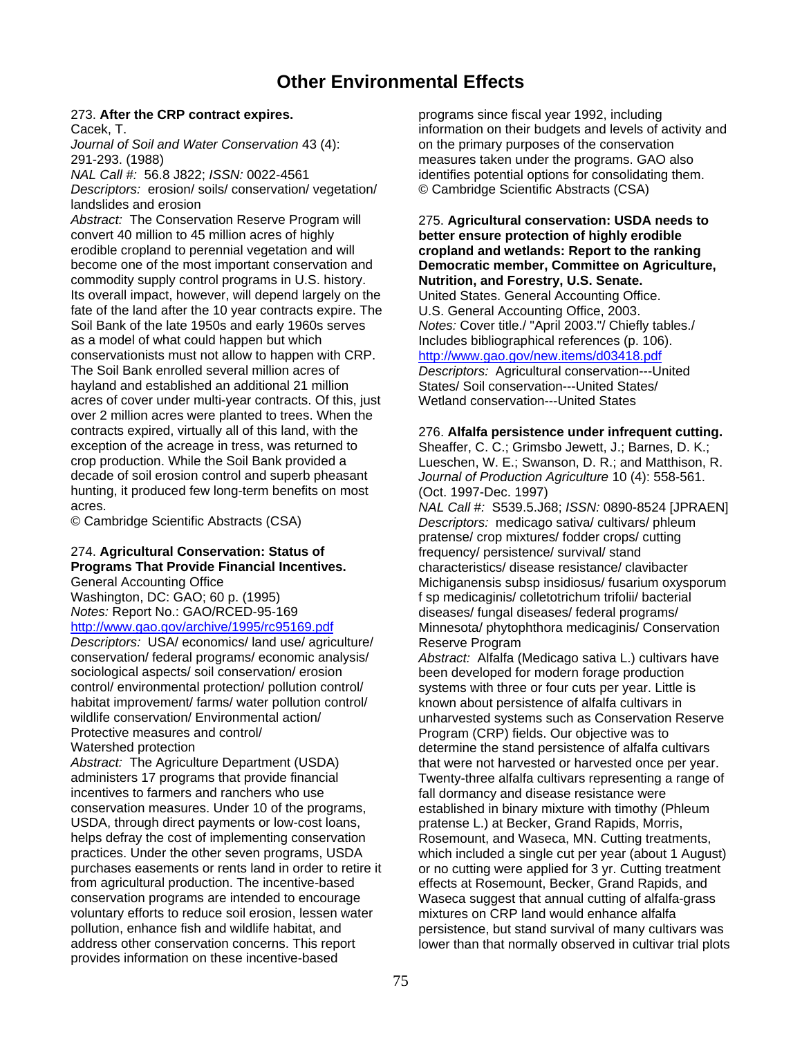# **Other Environmental Effects**

*Journal of Soil and Water Conservation* 43 (4):on the primary purposes of the conservation

*Descriptors:* erosion/ soils/ conservation/ vegetation/ © Cambridge Scientific Abstracts (CSA) landslides and erosion

*Abstract:* The Conservation Reserve Program will 275. **Agricultural conservation: USDA needs to**  convert 40 million to 45 million acres of highly **better ensure protection of highly erodible**  erodible cropland to perennial vegetation and will **cropland and wetlands: Report to the ranking**  commodity supply control programs in U.S. history. **Nutrition, and Forestry, U.S. Senate.**  Its overall impact, however, will depend largely on the fate of the land after the 10 year contracts expire. The U.S. General Accounting Office, 2003. Soil Bank of the late 1950s and early 1960s serves *Notes:* Cover title./ "April 2003."/ Chiefly tables./ as a model of what could happen but which Includes bibliographical references (p. 106). conservationists must not allow to happen with CRP. <http://www.gao.gov/new.items/d03418.pdf> The Soil Bank enrolled several million acres of *Descriptors:* Agricultural conservation---United hayland and established an additional 21 million States/ Soil conservation---United States/ acres of cover under multi-year contracts. Of this, just Wetland conservation---United States over 2 million acres were planted to trees. When the contracts expired, virtually all of this land, with the 276. **Alfalfa persistence under infrequent cutting.**<br> **Example 276. Alfalfa persistence under infrequent cutting.**<br>
Sheaffer, C. C.: Grimsbo Jewett, J.: Barnes, D. K. exception of the acreage in tress, was returned to Sheaffer, C. C.; Grimsbo Jewett, J.; Barnes, D. K.; crop production. While the Soil Bank provided a Lueschen, W. E.; Swanson, D. R.; and Matthison. F decade of soil erosion control and superb pheasant *Journal of Production Agriculture* 10 (4): 558-561. hunting, it produced few long-term benefits on most (Oct. 1997-Dec. 1997)<br>acres. MAL Call #: S539.5.J6

# 274. **Agricultural Conservation: Status of** frequency/ persistence/ survival/ stand

*Descriptors:* USA/ economics/ land use/ agriculture/ Reserve Program conservation/ federal programs/ economic analysis/ *Abstract:* Alfalfa (Medicago sativa L.) cultivars have control/ environmental protection/ pollution control/ systems with three or four cuts per year. Little is habitat improvement/ farms/ water pollution control/ known about persistence of alfalfa cultivars in<br>wildlife conservation/ Environmental action/ unharvested systems such as Conservation R Protective measures and control/ **Protective measures and control/** Program (CRP) fields. Our objective was to

administers 17 programs that provide financial Twenty-three alfalfa cultivars representing a range of incentives to farmers and ranchers who use fall dormancy and disease resistance were conservation measures. Under 10 of the programs, established in binary mixture with timothy (Phleum USDA, through direct payments or low-cost loans, pratense L.) at Becker, Grand Rapids, Morris, helps defray the cost of implementing conservation Rosemount, and Waseca, MN. Cutting treatments, practices. Under the other seven programs, USDA which included a single cut per year (about 1 August) purchases easements or rents land in order to retire it or no cutting were applied for 3 yr. Cutting treatment from agricultural production. The incentive-based effects at Rosemount, Becker, Grand Rapids, and conservation programs are intended to encourage Waseca suggest that annual cutting of alfalfa-grass voluntary efforts to reduce soil erosion, lessen water pollution, enhance fish and wildlife habitat, and pollution, enhance fish and wildlife habitat, and persistence, but stand survival of many cultivars was<br>address other conservation concerns. This report lower than that normally observed in cultivar trial plots provides information on these incentive-based

273. **After the CRP contract expires.** programs since fiscal year 1992, including Cacek, T. information on their budgets and levels of activity and Cacek, T. 291-293. (1988)<br>
MAL Call #: 56.8 J822: ISSN: 0022-4561 measures taken under the programs. GAO also<br>
identifies potential options for consolidating then *identifies potential options for consolidating them.* 

# **Democratic member, Committee on Agriculture,**

Lueschen, W. E.; Swanson, D. R.; and Matthison, R.

acres. *NAL Call #:* S539.5.J68; *ISSN:* 0890-8524 [JPRAEN] Descriptors: medicago sativa/ cultivars/ phleum pratense/ crop mixtures/ fodder crops/ cutting **Programs That Provide Financial Incentives. characteristics/ disease resistance/ clavibacter**<br>General Accounting Office **Conserver Conserver Conserver Conserver Conserver Conserver Conserver Conserver Conse** Michiganensis subsp insidiosus/ fusarium oxysporum Washington, DC: GAO; 60 p. (1995) f sp medicaginis/ colletotrichum trifolii/ bacterial *Notes:* Report No.: GAO/RCED-95-169 diseases/ fungal diseases/ federal programs/<br>http://www.gao.gov/archive/1995/rc95169.pdf Minnesota/ phytophthora medicaginis/ Conser Minnesota/ phytophthora medicaginis/ Conservation

been developed for modern forage production unharvested systems such as Conservation Reserve Watershed protection<br>
Abstract: The Agriculture Department (USDA) determine the stand persistence of alfalfa cultivars<br>
that were not harvested or harvested once per vear that were not harvested or harvested once per year. lower than that normally observed in cultivar trial plots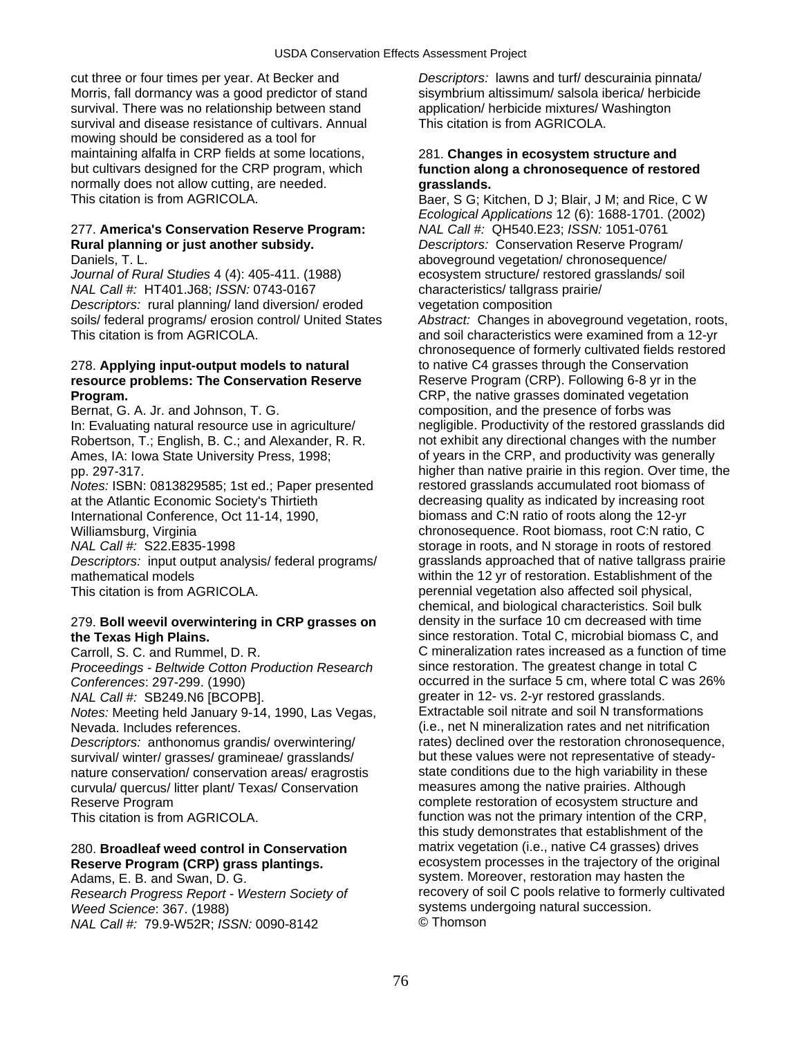cut three or four times per year. At Becker and *Descriptors:* lawns and turf/ descurainia pinnata/ Morris, fall dormancy was a good predictor of stand sisymbrium altissimum/ salsola iberica/ herbicide<br>survival. There was no relationship between stand application/ herbicide mixtures/ Washington survival. There was no relationship between stand application/ herbicide mixtures/ V<br>survival and disease resistance of cultivars. Annual This citation is from AGRICOLA. survival and disease resistance of cultivars. Annual mowing should be considered as a tool for maintaining alfalfa in CRP fields at some locations, 281. **Changes in ecosystem structure and**<br>
but cultivars designed for the CRP program, which **function along a chronosequence of resto** normally does not allow cutting, are needed. **grasslands.**  This citation is from AGRICOLA. Baer, S G; Kitchen, D J; Blair, J M; and Rice, C W

# 277. **America's Conservation Reserve Program:** *NAL Call #:* QH540.E23; *ISSN:* 1051-0761 **Rural planning or just another subsidy.** *Descriptors:* Conservation Reserve Program/

*Journal of Rural Studies* 4 (4): 405-411. (1988) ecosystem structure/ restored grasslands/ soil *NAL Call #:* HT401.J68; *ISSN:* 0743-0167 characteristics/ tallgrass prairie/ *Descriptors:* rural planning/ land diversion/ eroded vegetation composition soils/ federal programs/ erosion control/ United States *Abstract:* Changes in aboveground vegetation, roots, This citation is from AGRICOLA. This citation is from a 12-yr

# 278. **Applying input-output models to natural** to native C4 grasses through the Conservation **resource problems: The Conservation Reserve** <br>**Reserve Program (CRP). Following 6-8 yr in the CRP, the native grasses dominated vegetation**

Bernat, G. A. Jr. and Johnson, T. G. C. Composition, and the presence of forbs was

at the Atlantic Economic Society's Thirtieth decreasing quality as indicated by increasing root International Conference, Oct 11-14, 1990, biomass and C:N ratio of roots along the 12-yr<br>Williamsburg, Virginia biomass and C:N ratio chronosequence. Root biomass, root C:N ratio

*Descriptors:* input output analysis/ federal programs/ mathematical models within the 12 yr of restoration. Establishment of the This citation is from AGRICOLA. **permits and increase the solution** perennial vegetation also affected soil physical,

### 279. **Boll weevil overwintering in CRP grasses on the Texas High Plains.** since restoration. Total C, microbial biomass C, and

*Proceedings - Beltwide Cotton Production Research Notes:* Meeting held January 9-14, 1990, Las Vegas, Nevada. Includes references. (i.e., net N mineralization rates and net nitrification

survival/ winter/ grasses/ gramineae/ grasslands/ but these values were not representative of steady<br>nature conservation/ conservation areas/ eragrostis state conditions due to the high variability in these nature conservation/ conservation areas/ eragrostis state conditions due to the high variability in the<br>curvula/ quercus/ litter plant/ Texas/ Conservation measures among the native prairies. Although curvula/ quercus/ litter plant/ Texas/ Conservation Reserve Program complete restoration of ecosystem structure and

*Weed Science*: 367. (1988) **systems undergoing natural succession.**<br>
MAL Call #: 79.9-W52R: ISSN: 0090-8142 **C** Thomson *NAL Call #: 79.9-W52R; ISSN: 0090-8142* 

# function along a chronosequence of restored

*Ecological Applications* 12 (6): 1688-1701. (2002) Daniels, T. L. aboveground vegetation/ chronosequence/

chronosequence of formerly cultivated fields restored CRP, the native grasses dominated vegetation In: Evaluating natural resource use in agriculture/ negligible. Productivity of the restored grasslands did Robertson, T.; English, B. C.; and Alexander, R. R. not exhibit any directional changes with the number Ames, IA: Iowa State University Press, 1998; on the CRP, and productivity was generally pp. 297-317. higher than native prairie in this region. Over time, the *Notes:* ISBN: 0813829585; 1st ed.; Paper presented restored grasslands accumulated root biomass of chronosequence. Root biomass, root C:N ratio, C *NAL Call #:* S22.E835-1998 storage in roots, and N storage in roots of restored<br>Descriptors: input output analysis/ federal programs/ grasslands approached that of native tallgrass prairie chemical, and biological characteristics. Soil bulk Carroll, S. C. and Rummel, D. R. C mineralization rates increased as a function of time *Conferences*: 297-299. (1990) **conferences**: 297-299. (1990) **occurred in the surface 5 cm, where total C was 26%**<br> *NAL Call #:* SB249.N6 [BCOPB]. **by the surface of the surface of the surface of the surface of the surfa** greater in 12- vs. 2-yr restored grasslands.<br>Extractable soil nitrate and soil N transformations *Descriptors:* anthonomus grandis/ overwintering/ rates) declined over the restoration chronosequence,<br>
survival/ winter/ grasses/ gramineae/ grasslands/ but these values were not representative of steady-This citation is from AGRICOLA. This citation is from AGRICOLA. This citation of the CRP, this study demonstrates that establishment of the 280. **Broadleaf weed control in Conservation** matrix vegetation (i.e., native C4 grasses) drives **Reserve Program (CRP) grass plantings. Example 20 Figure 2016** Ecosystem processes in the trajectory of the original Adams, E. B. and Swan, D. G. Superinted as a system. Moreover, restoration may hasten the *Research Progress Report - Western Society of* recovery of soil C pools relative to formerly cultivated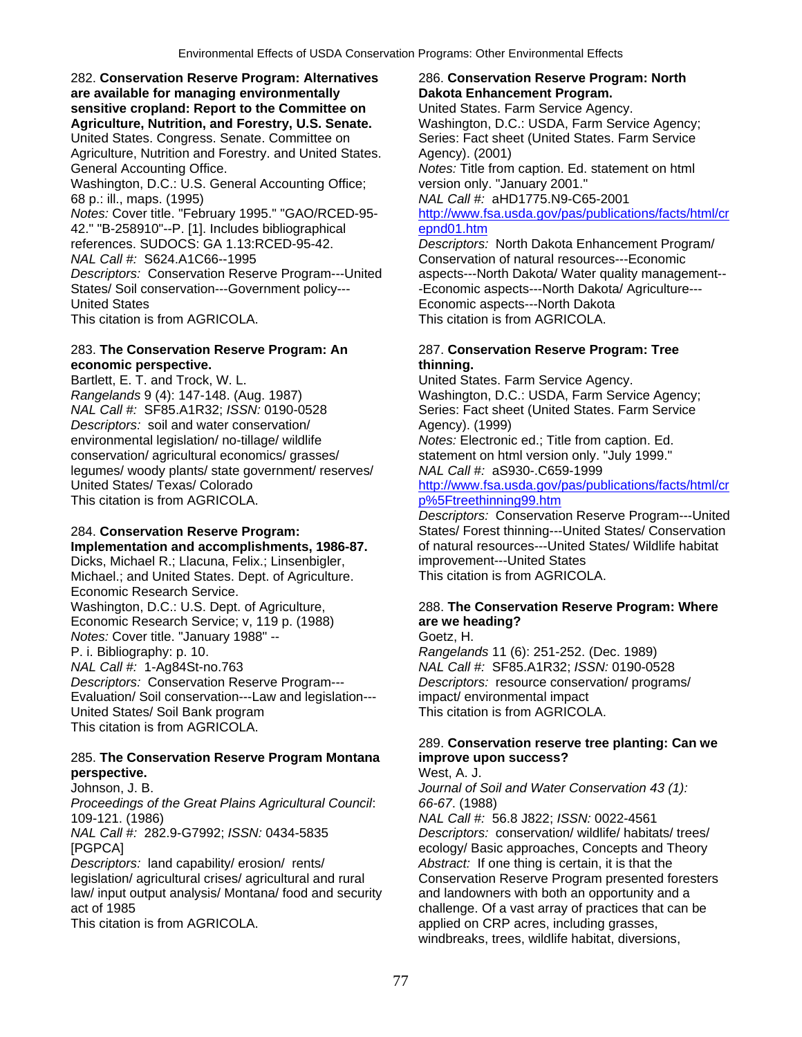282. **Conservation Reserve Program: Alternatives** 286. **Conservation Reserve Program: North are available for managing environmentally Dakota Enhancement Program. sensitive cropland: Report to the Committee on** United States. Farm Service Agency. **Agriculture, Nutrition, and Forestry, U.S. Senate.** Washington, D.C.: USDA, Farm Service Agency; United States. Congress. Senate. Committee on Series: Fact sheet (United States. Farm Service Agriculture, Nutrition and Forestry. and United States. Agency). (2001) General Accounting Office. *Notes:* Title from caption. Ed. statement on html Washington, D.C.: U.S. General Accounting Office; version only. "January 2001." 68 p.: ill., maps. (1995) *NAL Call #:* aHD1775.N9-C65-2001 *Notes:* Cover title. "February 1995." "GAO/RCED-95- [http://www.fsa.usda.gov/pas/publications/facts/html/cr](http://www.fsa.usda.gov/pas/publications/facts/html/crepnd01.htm) 42." "B-258910"--P. [1]. Includes bibliographical [epnd01.htm](http://www.fsa.usda.gov/pas/publications/facts/html/crepnd01.htm) references. SUDOCS: GA 1.13:RCED-95-42. *Descriptors:* North Dakota Enhancement Program/ *NAL Call #:* S624.A1C66--1995 Conservation of natural resources---Economic *Descriptors:* Conservation Reserve Program---United aspects---North Dakota/ Water quality management-- States/ Soil conservation---Government policy--- - - - - - - Economic aspects---North Dakota/ Agriculture---United States Economic aspects---North Dakota

### 283. **The Conservation Reserve Program: An** 287. **Conservation Reserve Program: Tree economic perspective.** This is a seconomic perspective.

Bartlett, E. T. and Trock, W. L. Canadian Music Christian United States. Farm Service Agency. *Rangelands* 9 (4): 147-148. (Aug. 1987) Washington, D.C.: USDA, Farm Service Agency; *Descriptors:* soil and water conservation/ **Agency**). (1999) environmental legislation/ no-tillage/ wildlife *Notes:* Electronic ed.; Title from caption. Ed. conservation/ agricultural economics/ grasses/ statement on html version only. "July 1999." legumes/ woody plants/ state government/ reserves/ *NAL Call #:* aS930-.C659-1999 This citation is from AGRICOLA. **pm**  $\frac{p}{65}$ Fireethinning99.htm

**Implementation and accomplishments, 1986-87.** Sof natural resources---United Dicks. Michael R.: Llacuna. Felix.: Linsenbigler. **implementer---** United States Dicks, Michael R.; Llacuna, Felix.; Linsenbigler, internativement---United States<br>Michael.: and United States. Dept. of Agriculture. This citation is from AGRICOLA. Michael.; and United States. Dept. of Agriculture. Economic Research Service. Washington, D.C.: U.S. Dept. of Agriculture, 288. **The Conservation Reserve Program: Where**  Economic Research Service; v, 119 p. (1988) **are we heading?**  *Notes:* Cover title. "January 1988" -- Goetz, H. P. i. Bibliography: p. 10. *Rangelands* 11 (6): 251-252. (Dec. 1989) *NAL Call #:* 1-Ag84St-no.763 *NAL Call #:* SF85.A1R32; *ISSN:* 0190-0528 *Descriptors:* Conservation Reserve Program--- *Descriptors:* resource conservation/ programs/ Evaluation/ Soil conservation---Law and legislation--- impact/ environmental impact United States/ Soil Bank program This citation is from AGRICOLA. This citation is from AGRICOLA.

## 285. **The Conservation Reserve Program Montana improve upon success? perspective. and the set of the set of the set of the set of the SN west. A. J.**

*Proceedings of the Great Plains Agricultural Council*: *66-67*. (1988) 109-121. (1986) *NAL Call #:* 56.8 J822; *ISSN:* 0022-4561 *NAL Call #:* 282.9-G7992; *ISSN:* 0434-5835 *Descriptors:* conservation/ wildlife/ habitats/ trees/

*Descriptors:* land capability/ erosion/ rents/ *Abstract:* If one thing is certain, it is that the legislation/ agricultural crises/ agricultural and rural Conservation Reserve Program presented foresters law/ input output analysis/ Montana/ food and security and landowners with both an opportunity and a act of 1985 challenge. Of a vast array of practices that can be

This citation is from AGRICOLA. This citation is from AGRICOLA.

Series: Fact sheet (United States. Farm Service

# [http://www.fsa.usda.gov/pas/publications/facts/html/cr](http://www.fsa.usda.gov/pas/publications/facts/html/crp%5Ftreethinning99.htm)

*Descriptors:* Conservation Reserve Program---United 284. **Conservation Reserve Program:** States/ Forest thinning---United States/ Conservation

# 289. **Conservation reserve tree planting: Can we**

Johnson, J. B. *Journal of Soil and Water Conservation 43 (1):* 

[PGPCA] ecology/ Basic approaches, Concepts and Theory This citation is from AGRICOLA.  $applied on CRP acres, including grasses,$ windbreaks, trees, wildlife habitat, diversions,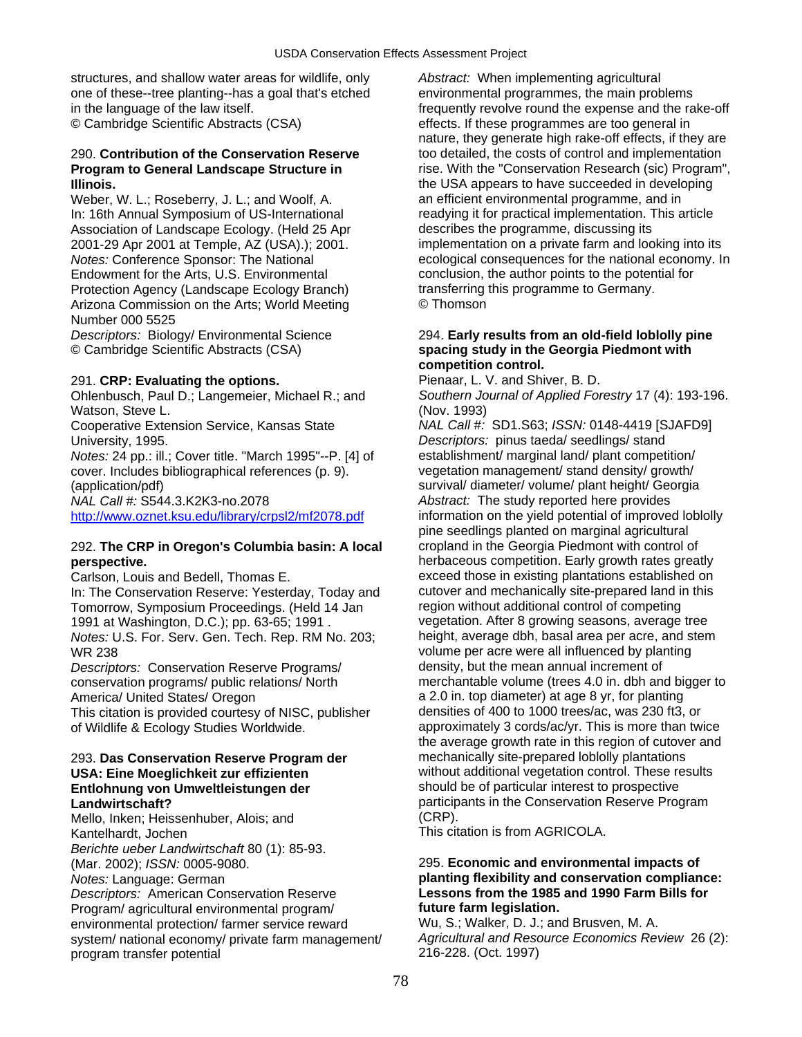structures, and shallow water areas for wildlife, only *Abstract:* When implementing agricultural one of these--tree planting--has a goal that's etched environmental programmes, the main problems

Weber, W. L.; Roseberry, J. L.; and Woolf, A. an efficient environmental programme, and in Association of Landscape Ecology. (Held 25 Apr describes the programme, discussing its Endowment for the Arts, U.S. Environmental conclusion, the author points to the potential for Protection Agency (Landscape Ecology Branch) transferring this programme to Germany. Arizona Commission on the Arts; World Meeting © Thomson Number 000 5525

## 291. **CRP: Evaluating the options.** Pienaar, L. V. and Shiver, B. D.

Watson, Steve L. (Nov. 1993)<br>Cooperative Extension Service, Kansas State MAL Call #:

*Notes: 24 pp.: ill.: Cover title. "March 1995"--P. [4] of* cover. Includes bibliographical references (p. 9). vegetation management/ stand density/ growth/ (application/pdf) survival/ diameter/ volume/ plant height/ Georgia

## 292. **The CRP in Oregon's Columbia basin: A local** cropland in the Georgia Piedmont with control of **perspective. herbaceous competition. Early growth rates greatly and respective.**

In: The Conservation Reserve: Yesterday, Today and cutover and mechanically site-prepared land in this Tomorrow. Symposium Proceedings. (Held 14 Jan region without additional control of competing Tomorrow, Symposium Proceedings. (Held 14 Jan 1991 at Washington, D.C.); pp. 63-65; 1991 . vegetation. After 8 growing seasons, average tree *Notes:* U.S. For. Serv. Gen. Tech. Rep. RM No. 203; height, average dbh, basal area per acre, and stem WR 238 volume per acre were all influenced by planting

*Descriptors:* Conservation Reserve Programs/ density, but the mean annual increment of This citation is provided courtesy of NISC, publisher

# **Entlohnung von Umweltleistungen der** should be of particular interest to prospective

Mello, Inken; Heissenhuber, Alois; and

*Berichte ueber Landwirtschaft* 80 (1): 85-93.

*Descriptors:* American Conservation Reserve **Lessons from the 1985 and 1990 Farm Bills for**  Program/ agricultural environmental program/ **future farm legislation.**  environmental protection/ farmer service reward Wu, S.; Walker, D. J.; and Brusven, M. A.<br>system/ national economy/ private farm management/ Agricultural and Resource Economics Review 26 (2): system/ national economy/ private farm management/ program transfer potential 216-228. (Oct. 1997)

in the language of the law itself.<br>
© Cambridge Scientific Abstracts (CSA) effects. If these programmes are too general in effects. If these programmes are too general in nature, they generate high rake-off effects, if they are 290. **Contribution of the Conservation Reserve** too detailed, the costs of control and implementation **Program to General Landscape Structure in rise. With the "Conservation Research (sic) Program", Illinois.** the USA appears to have succeeded in developing In: 16th Annual Symposium of US-International readying it for practical implementation. This article 2001-29 Apr 2001 at Temple, AZ (USA).); 2001. implementation on a private farm and looking into its *Notes:* Conference Sponsor: The National example ecological consequences for the national economy. In

### *Descriptors:* Biology/ Environmental Science 294. **Early results from an old-field loblolly pine**<br>
© Cambridge Scientific Abstracts (CSA) **come and a spacing study in the Georgia Piedmont with** © Cambridge Scientific Abstracts (CSA) **spacing study in the Georgia Piedmont with competition control.**

Ohlenbusch, Paul D.; Langemeier, Michael R.; and *Southern Journal of Applied Forestry* 17 (4): 193-196.

NAL Call #: SD1.S63; *ISSN:* 0148-4419 [SJAFD9] University, 1995. *Descriptors:* pinus taeda/ seedlings/ stand *NAL Call #:* S544.3.K2K3-no.2078 *Abstract:* The study reported here provides <http://www.oznet.ksu.edu/library/crpsl2/mf2078.pdf> information on the yield potential of improved loblolly pine seedlings planted on marginal agricultural Carlson, Louis and Bedell, Thomas E. exceed those in existing plantations established on conservation programs/ public relations/ North merchantable volume (trees 4.0 in. dbh and bigger to America/ United States/ Oregon a 2.0 in. top diameter) at age 8 yr, for planting<br>This citation is provided courtesy of NISC. publisher densities of 400 to 1000 trees/ac, was 230 ft3, or of Wildlife & Ecology Studies Worldwide. And approximately 3 cords/ac/yr. This is more than twice the average growth rate in this region of cutover and 293. **Das Conservation Reserve Program der** mechanically site-prepared loblolly plantations **USA: Eine Moeglichkeit zur effizienten** without additional vegetation control. These results **Landwirtschaft?**<br>Mello Inken: Heissenbuber, Alois: and **CRP.** (CRP).

Kantelhardt, Jochen This citation is from AGRICOLA.

# (Mar. 2002); *ISSN:* 0005-9080. 295. **Economic and environmental impacts of**  *Notes:* Language: German **planting flexibility and conservation compliance:**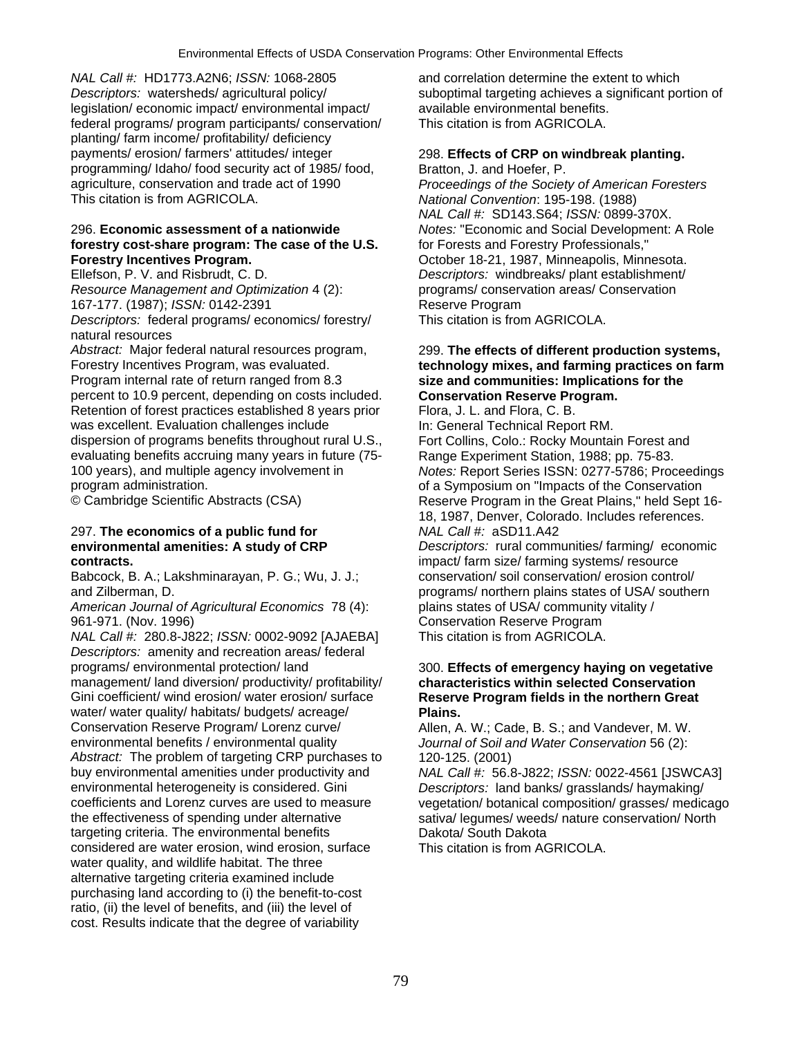*NAL Call #:* HD1773.A2N6; *ISSN:* 1068-2805 and correlation determine the extent to which *Descriptors:* watersheds/ agricultural policy/ suboptimal targeting achieves a significant portion of leaislation/ economic impact/ environmental impact/ available environmental benefits. legislation/ economic impact/ environmental impact/ available environmental benefits. federal programs/ program participants/ conservation/ planting/ farm income/ profitability/ deficiency payments/ erosion/ farmers' attitudes/ integer 298. **Effects of CRP on windbreak planting.**  programming/ Idaho/ food security act of 1985/ food, Bratton, J. and Hoefer, P. agriculture, conservation and trade act of 1990 *Proceedings of the Society of American Foresters*  This citation is from AGRICOLA. *National Convention*: 195-198. (1988)

### 296. **Economic assessment of a nationwide** *Notes:* "Economic and Social Development: A Role **forestry cost-share program: The case of the U.S.** for Forests and Forestry Professionals," **Forestry Incentives Program. Community Community Community Community Program.** October 18-21, 1987, Minneapolis, Minnesota.

*Resource Management and Optimization* 4 (2): programs/ conservation areas/ Conservation

*Descriptors:* federal programs/ economics/ forestry/ natural resources

*Abstract:* Major federal natural resources program, 299. **The effects of different production systems,**  Program internal rate of return ranged from 8.3 **size and communities: Implications for the**  percent to 10.9 percent, depending on costs included. Retention of forest practices established 8 years prior Flora, J. L. and Flora, C. B. was excellent. Evaluation challenges include In: General Technical Report RM. dispersion of programs benefits throughout rural U.S., Fort Collins, Colo.: Rocky Mountain Forest and<br>evaluating benefits accruing many years in future (75-<br>Range Experiment Station, 1988: pp. 75-83. evaluating benefits accruing many years in future (75-<br> 100 years), and multiple agency involvement in *Notes:* Report Series ISSN: 0277-5786; Proceedings

# 297. **The economics of a public fund for** *NAL Call #:* aSD11.A42

Babcock, B. A.; Lakshminarayan, P. G.; Wu, J. J.;

*American Journal of Agricultural Economics* 78 (4): plains states of USA/ community vitality / 961-971. (Nov. 1996) Conservation Reserve Program

*NAL Call #:* 280.8-J822; *ISSN:* 0002-9092 [AJAEBA] This citation is from AGRICOLA. *Descriptors:* amenity and recreation areas/ federal programs/ environmental protection/ land 300. **Effects of emergency haying on vegetative**  management/ land diversion/ productivity/ profitability/ **characteristics within selected Conservation**<br>
Gini coefficient/ wind erosion/ water erosion/ surface **Reserve Program fields in the northern Great** water/ water quality/ habitats/ budgets/ acreage/ **Plains.**<br>Conservation Reserve Program/ Lorenz curve/ **Plaine** Allen, A Conservation Reserve Program/ Lorenz curve/ Allen, A. W.; Cade, B. S.; and Vandever, M. W.<br>
environmental benefits / environmental quality *Journal of Soil and Water Conservation* 56 (2): *Abstract:* The problem of targeting CRP purchases to 120-125. (2001) buy environmental amenities under productivity and *NAL Call #:* 56.8-J822; *ISSN:* 0022-4561 [JSWCA3] coefficients and Lorenz curves are used to measure vegetation/ botanical composition/ grasses/ medicago the effectiveness of spending under alternative sativa/ legumes/ weeds/ nature conservation/ North targeting criteria. The environmental benefits **Dakota** Dakota/ South Dakota considered are water erosion, wind erosion, surface This citation is from AGRICOLA. water quality, and wildlife habitat. The three alternative targeting criteria examined include purchasing land according to (i) the benefit-to-cost ratio, (ii) the level of benefits, and (iii) the level of cost. Results indicate that the degree of variability

*NAL Call #:* SD143.S64; *ISSN:* 0899-370X. Ellefson, P. V. and Risbrudt, C. D. *Descriptors:* windbreaks/ plant establishment/ 167-177. (1987); *ISSN:* 0142-2391 Reserve Program<br>
Descriptors: federal programs/ economics/ forestry/ This citation is from AGRICOLA.

# technology mixes, and farming practices on farm

program administration.<br>
© Cambridge Scientific Abstracts (CSA) The Conservation Reserve Program in the Great Plains." held Sept Reserve Program in the Great Plains," held Sept 16-18, 1987, Denver, Colorado. Includes references. **environmental amenities: A study of CRP** *Descriptors:* rural communities/ farming/ economic **contracts.**<br> **impact/ farm size/ farming systems/ resource**<br> **Babcock, B. A.; Lakshminarayan, P. G.; Wu, J. J.; conservation/ soil conservation/ erosion control/** and Zilberman, D. programs/ northern plains states of USA/ southern

# **Reserve Program fields in the northern Great**

Journal of Soil and Water Conservation 56 (2):

Descriptors: land banks/ grasslands/ haymaking/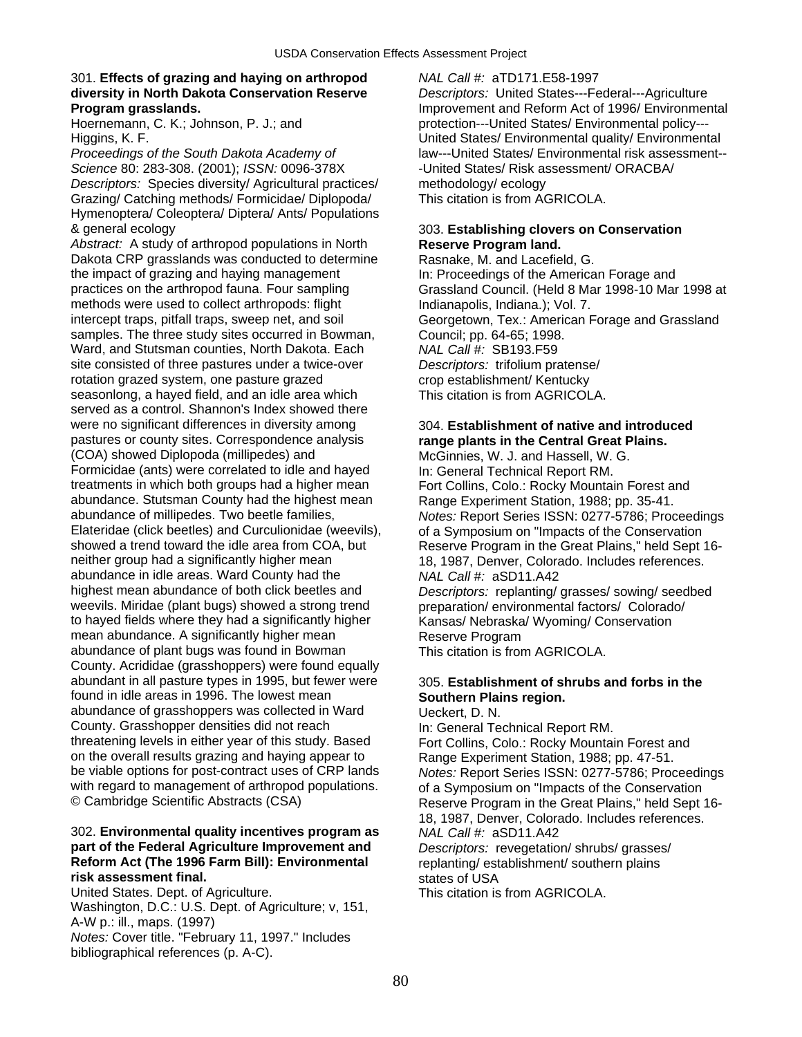# 301. **Effects of grazing and haying on arthropod** *NAL Call #:* aTD171.E58-1997 **diversity in North Dakota Conservation Reserve** *Descriptors:* United States---Federal---Agriculture

*Science* 80: 283-308. (2001); *ISSN:* 0096-378X -United States/ Risk assessment/ ORACBA/ *Descriptors:* Species diversity/ Agricultural practices/ methodology/ ecology Grazing/ Catching methods/ Formicidae/ Diplopoda/ This citation is from AGRICOLA. Hymenoptera/ Coleoptera/ Diptera/ Ants/ Populations & general ecology 303. **Establishing clovers on Conservation** 

Abstract: A study of arthropod populations in North **Reserve Program land.** Dakota CRP grasslands was conducted to determine Rasnake, M. and Lacefield, G.<br>the impact of grazing and haying management In: Proceedings of the America the impact of grazing and haying management In: Proceedings of the American Forage and practices on the arthropod fauna. Four sampling Grassland Council. (Held 8 Mar 1998-10 Mar methods were used to collect arthropods: flight Indianapolis, Indiana.): Vol. 7. intercept traps, pitfall traps, sweep net, and soil Georgetown, Tex.: American Forage and Grassland samples. The three study sites occurred in Bowman, Council; pp. 64-65; 1998. Ward, and Stutsman counties, North Dakota. Each *NAL Call #:* SB193.F59 site consisted of three pastures under a twice-over *Descriptors:* trifolium pratense/ rotation grazed system, one pasture grazed crop establishment/ Kentucky seasonlong, a hayed field, and an idle area which This citation is from AGRICOLA. served as a control. Shannon's Index showed there were no significant differences in diversity among 304. **Establishment of native and introduced**  pastures or county sites. Correspondence analysis **range plants in the Central Great Plains.**  (COA) showed Diplopoda (millipedes) and McGinnies, W. J. and Hassell, W. G. Formicidae (ants) were correlated to idle and hayed In: General Technical Report RM.<br>
In: General Technical Report RM.<br>
Fort Collins. Colo.: Rocky Mountain abundance. Stutsman County had the highest mean Range Experiment Station, 1988; pp. 35-41.<br>abundance of millipedes. Two beetle families. Notes: Report Series ISSN: 0277-5786: Proc abundance of millipedes. Two beetle families, *Notes:* Report Series ISSN: 0277-5786; Proceedings Elateridae (click beetles) and Curculionidae (weevils), of a Symposium on "Impacts of the Conservation<br>
showed a trend toward the idle area from COA, but Reserve Program in the Great Plains." held Sept showed a trend toward the idle area from COA, but Reserve Program in the Great Plains," held Sept 16-<br>neither group had a significantly higher mean 18, 1987. Denver. Colorado. Includes references. abundance in idle areas. Ward County had the *NAL Call #:* aSD11.A42<br>highest mean abundance of both click beetles and *Descriptors:* replanting/ weevils. Miridae (plant bugs) showed a strong trend preparation/ environmental factors/ Colorado/ to hayed fields where they had a significantly higher Kansas/ Nebraska/ Wyoming/ Conservation mean abundance. A significantly higher mean Reserve Program abundance of plant bugs was found in Bowman This citation is from AGRICOLA. County. Acrididae (grasshoppers) were found equally abundant in all pasture types in 1995, but fewer were 305. Establishment of shrubs and forbs in the found in idle areas in 1996. The lowest mean **Southern Plains region.** abundance of grasshoppers was collected in Ward Ueckert, D. N. County. Grasshopper densities did not reach In: General Technical Report RM.<br>
threatening levels in either year of this study. Based Fort Collins. Colo.: Rocky Mountai on the overall results grazing and haying appear to Range Experiment Station, 1988; pp. 47-51.<br>
be viable options for post-contract uses of CRP lands Motes: Report Series ISSN: 0277-5786: Proc with regard to management of arthropod populations. of a Symposium on "Impacts of the Conservation<br>© Cambridge Scientific Abstracts (CSA) Beserve Program in the Great Plains " held Sept

# 302. **Environmental quality incentives program as** *NAL Call #:* aSD11.A42 **part of the Federal Agriculture Improvement and** *Descriptors:* revegetation/ shrubs/ grasses/ **Reform Act (The 1996 Farm Bill): Environmental** replanting/ establishment/ southern plains **risk assessment final.**<br>
United States. Dept. of Agriculture. **States of USA**<br>
This citation is from AGRICOLA.

United States. Dept. of Agriculture. Washington, D.C.: U.S. Dept. of Agriculture; v, 151, A-W p.: ill., maps. (1997) *Notes:* Cover title. "February 11, 1997." Includes bibliographical references (p. A-C).

**Program grasslands.** Improvement and Reform Act of 1996/ Environmental Hoernemann, C. K.; Johnson, P. J.; and **protection---United States/ Environmental policy---**Higgins, K. F.<br>Proceedings of the South Dakota Academy of The Manu--United States/ Environmental quality/ Environmental<br>Iaw---United States/ Environmental risk assessment-*Proceedings of the South Dakota Academy of* law---United States/ Environmental risk assessment--

Grassland Council. (Held 8 Mar 1998-10 Mar 1998 at

Fort Collins, Colo.: Rocky Mountain Forest and 18, 1987, Denver, Colorado. Includes references. Descriptors: replanting/ grasses/ sowing/ seedbed

Fort Collins, Colo.: Rocky Mountain Forest and **Notes: Report Series ISSN: 0277-5786: Proceedings** Reserve Program in the Great Plains," held Sept 16-18, 1987, Denver, Colorado. Includes references.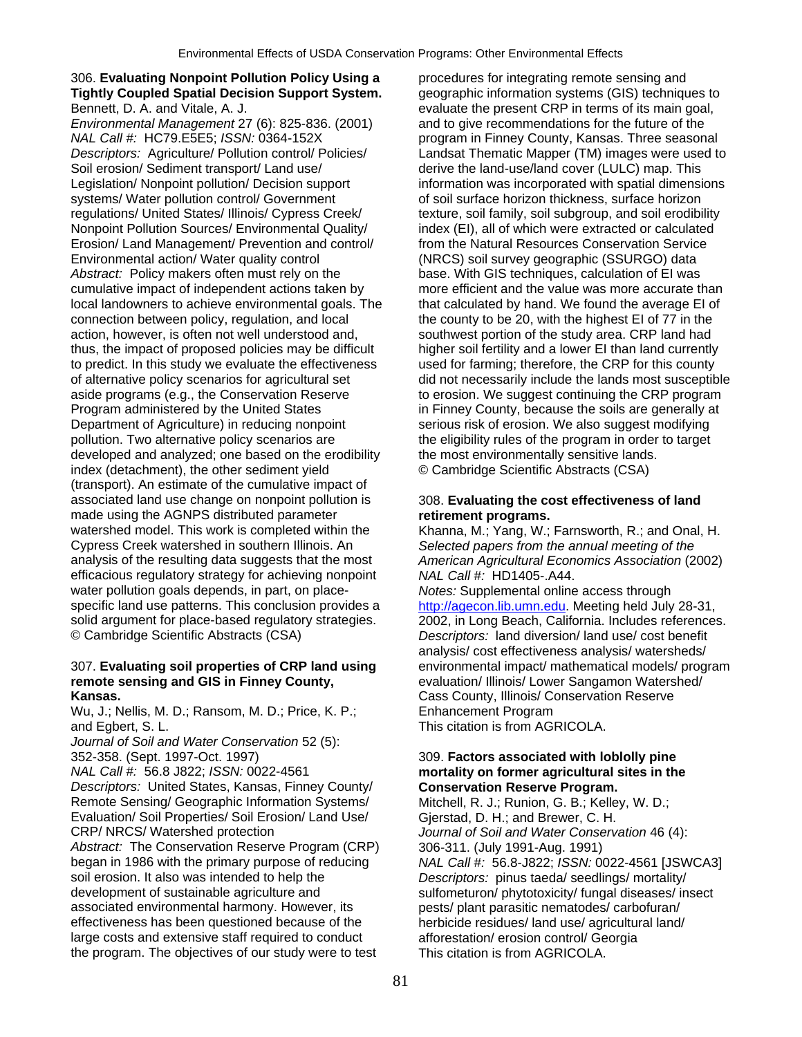# 306. **Evaluating Nonpoint Pollution Policy Using a** procedures for integrating remote sensing and **Tightly Coupled Spatial Decision Support System.** geographic information systems (GIS) techniques to

*NAL Call #:* HC79.E5E5; *ISSN:* 0364-152X program in Finney County, Kansas. Three seasonal *Descriptors:* Agriculture/ Pollution control/ Policies/ Landsat Thematic Mapper (TM) images were used to Soil erosion/ Sediment transport/ Land use/ derive the land-use/land cover (LULC) map. This Legislation/ Nonpoint pollution/ Decision support information was incorporated with spatial dimensions systems/ Water pollution control/ Government of soil surface horizon thickness, surface horizon regulations/ United States/ Illinois/ Cypress Creek/ texture, soil family, soil subgroup, and soil erodibility Nonpoint Pollution Sources/ Environmental Quality/ index (EI), all of which were extracted or calculated Erosion/ Land Management/ Prevention and control/ from the Natural Resources Conservation Service Environmental action/ Water quality control (NRCS) soil survey geographic (SSURGO) data Abstract: Policy makers often must rely on the base. With GIS techniques, calculation of EI was cumulative impact of independent actions taken by more efficient and the value was more accurate than local landowners to achieve environmental goals. The that calculated by hand. We found the average EI of connection between policy, regulation, and local the county to be 20, with the highest EI of 77 in the action, however, is often not well understood and, southwest portion of the study area. CRP land had thus, the impact of proposed policies may be difficult higher soil fertility and a lower EI than land currently to predict. In this study we evaluate the effectiveness used for farming; therefore, the CRP for this county of alternative policy scenarios for agricultural set did not necessarily include the lands most susceptible aside programs (e.g., the Conservation Reserve to erosion. We suggest continuing the CRP program Program administered by the United States in Finney County, because the soils are generally at Department of Agriculture) in reducing nonpoint serious risk of erosion. We also suggest modifying pollution. Two alternative policy scenarios are the eligibility rules of the program in order to target developed and analyzed; one based on the erodibility the most environmentally sensitive lands. index (detachment), the other sediment yield © Cambridge Scientific Abstracts (CSA) (transport). An estimate of the cumulative impact of associated land use change on nonpoint pollution is 308. **Evaluating the cost effectiveness of land**  made using the AGNPS distributed parameter **retirement programs.** watershed model. This work is completed within the Khanna, M.; Yang, W.; Farnsworth, R.; and Onal, H. Cypress Creek watershed in southern Illinois. An *Selected papers from the annual meeting of the*  efficacious regulatory strategy for achieving nonpoint *NAL Call #:* HD1405-.A44. water pollution goals depends, in part, on place- *Notes:* Supplemental online access through specific land use patterns. This conclusion provides a [http://agecon.lib.umn.edu.](http://agecon.lib.umn.edu/) Meeting held July 28-31, solid argument for place-based regulatory strategies. 2002, in Long Beach, California. Includes references © Cambridge Scientific Abstracts (CSA) *Descriptors:* land diversion/ land use/ cost benefit

# **remote sensing and GIS in Finney County,** *evaluation/ Illinois/ Lower Sangamon Watershed/***<br><b>Kansas.** Cass County. Illinois/ Conservation Reserve

Wu, J.; Nellis, M. D.; Ransom, M. D.; Price, K. P.; Enhancement Program and Egbert, S. L. This citation is from AGRICOLA.

*Journal of Soil and Water Conservation* 52 (5):

*Descriptors:* United States, Kansas, Finney County/ **Conservation Reserve Program.**  Remote Sensing/ Geographic Information Systems/ Mitchell, R. J.; Runion, G. B.; Kelley, W. D.; Evaluation/ Soil Properties/ Soil Erosion/ Land Use/ Gjerstad, D. H.; and Brewer, C. H. CRP/ NRCS/ Watershed protection *Journal of Soil and Water Conservation* 46 (4):

*Abstract:* The Conservation Reserve Program (CRP) 306-311. (July 1991-Aug. 1991) began in 1986 with the primary purpose of reducing *NAL Call #:* 56.8-J822; *ISSN:* 0022-4561 [JSWCA3] soil erosion. It also was intended to help the *Descriptors:* pinus taeda/ seedlings/ mortality/ development of sustainable agriculture and sulfometuron/ phytotoxicity/ fungal diseases/ insect<br>associated environmental harmony. However, its section posts/ plant parasitic nematodes/ carbofuran/ effectiveness has been questioned because of the herbicide residues/ land use/ agricultural land/ large costs and extensive staff required to conduct afforestation/ erosion control/ Georgia<br>the program. The objectives of our study were to test This citation is from AGRICOLA. the program. The objectives of our study were to test

Bennett, D. A. and Vitale, A. J. evaluate the present CRP in terms of its main goal,<br> *Environmental Management* 27 (6): 825-836. (2001) and to give recommendations for the future of the and to give recommendations for the future of the

American Agricultural Economics Association (2002)

2002, in Long Beach, California. Includes references. analysis/ cost effectiveness analysis/ watersheds/ 307. **Evaluating soil properties of CRP land using** environmental impact/ mathematical models/ program **Cass County, Illinois/ Conservation Reserve** 

# 352-358. (Sept. 1997-Oct. 1997) 309. **Factors associated with loblolly pine**   $M$  mortality on former agricultural sites in the

pests/ plant parasitic nematodes/ carbofuran/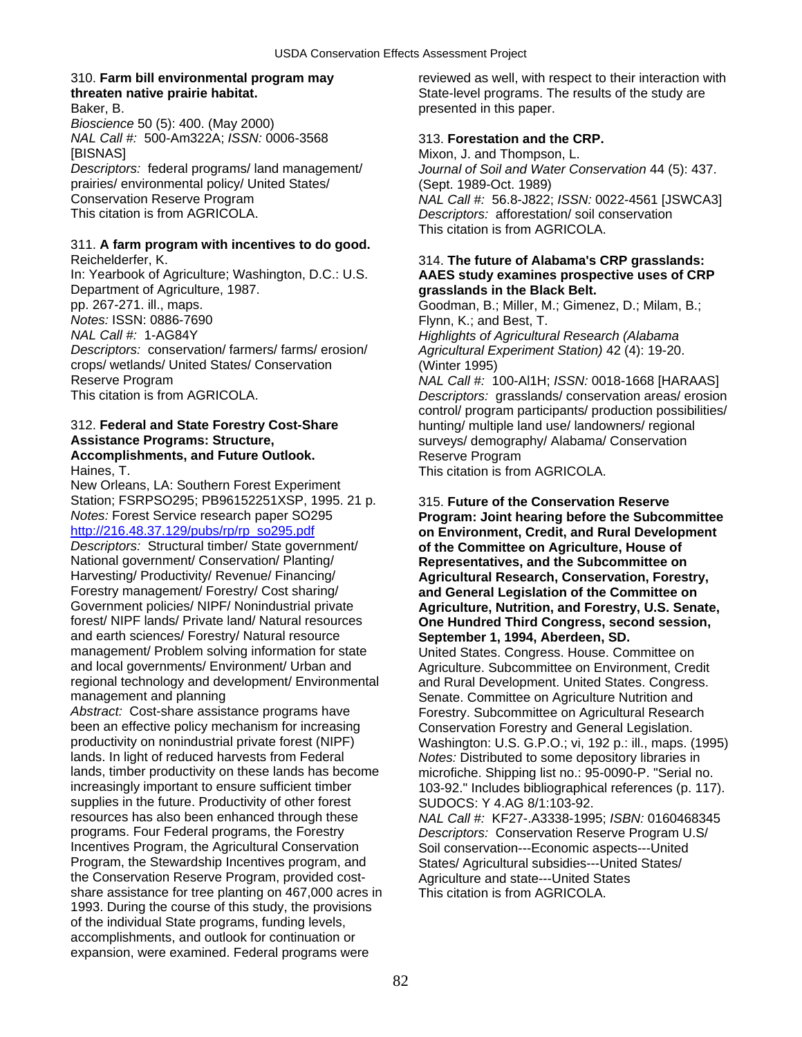Baker, B. presented in this paper. *Bioscience* 50 (5): 400. (May 2000) *NAL Call #:* 500-Am322A; *ISSN:* 0006-3568 313. **Forestation and the CRP.**  [BISNAS]<br>Descriptors: federal programs/land management/ Mixon, J. and Thompson, L.<br>Descriptors: federal programs/land management/ Journal of Soil and Water Co prairies/ environmental policy/ United States/ (Sept. 1989-Oct. 1989)

## 311. **A farm program with incentives to do good.**

In: Yearbook of Agriculture; Washington, D.C.: U.S. **AAES study examines prospective uses of CRP**  Department of Agriculture, 1987. **grasslands in the Black Belt.**  pp. 267-271. ill., maps. Community Communication Coodman, B.; Miller, M.; Gimenez, D.; Milam, B.; Mortes: ISSN: 0886-7690 *Notes:* ISSN: 0886-7690 **Flynn, K.; and Best, T.**<br> *NAL Call #:* 1-AG84Y **Fluit Account Account Account Account Account Account Account Account Account Account Account** *Descriptors:* conservation/ farmers/ farms/ erosion/ *Agricultural Experiment Station)* 42 (4): 19-20. crops/ wetlands/ United States/ Conservation (Winter 1995) Reserve Program *NAL Call #:* 100-Al1H; *ISSN:* 0018-1668 [HARAAS] This citation is from AGRICOLA. *Descriptors:* grasslands/ conservation areas/ erosion

# **Assistance Programs: Structure,**  surveys/ demography/ Alabama/ Conservation **Accomplishments, and Future Outlook. Reserve Program** Haines, T. This citation is from AGRICOLA.

New Orleans, LA: Southern Forest Experiment Station; FSRPSO295; PB96152251XSP, 1995. 21 p. 315. **Future of the Conservation Reserve**<br>*Notes:* Forest Service research paper SO295 **Program: Joint hearing before the Subco** *Notes:* Forest Service research paper SO295 **Program: Joint hearing before the Subcommittee** 

*Descriptors:* Structural timber/ State government/ **of the Committee on Agriculture, House of**  National government/ Conservation/ Planting/ **Representatives, and the Subcommittee on**  Harvesting/ Productivity/ Revenue/ Financing/ **Agricultural Research, Conservation, Forestry, Forestry,** *Forestry***,** *Research***, Conservation, Forestry,** *Research***, Conservation, Forestry,** *Research***, Conservation,** *Fores* Forestry management/ Forestry/ Cost sharing/ **and General Legislation of the Committee on**<br>Government policies/ NIPF/ Nonindustrial private **Agriculture, Nutrition, and Forestry, U.S. Sen** Government policies/ NIPF/ Nonindustrial private **Agriculture, Nutrition, and Forestry, U.S. Senate, Constantent Constant Agriculture, Nutrition, and Forestry, U.S. Senate,** *Second session***.** and earth sciences/ Forestry/ Natural resource **September 1, 1994, Aberdeen, SD.**  management/ Problem solving information for state United States. Congress. House. Committee on<br>and local governments/ Environment/ Urban and Agriculture. Subcommittee on Environment. Cree regional technology and development/ Environmental and Rural Development. United States. Congress.<br>Senate. Committee on Agriculture Nutrition and<br>Senate. Committee on Agriculture Nutrition and

Abstract: Cost-share assistance programs have Forestry. Subcommittee on Agricultural Research<br>
been an effective policy mechanism for increasing Conservation Forestry and General Legislation. been an effective policy mechanism for increasing Conservation Forestry and General Legislation.<br>
productivity on nonindustrial private forest (NIPF) Washington: U.S. G.P.O.: vi. 192 p.: ill., maps. ( productivity on nonindustrial private forest (NIPF) Washington: U.S. G.P.O.; vi, 192 p.: ill., maps. (1995)<br>
lands. In light of reduced harvests from Federal Wores: Distributed to some depository libraries in lands. In light of reduced harvests from Federal *Notes:* Distributed to some depository libraries in lands, timber productivity on these lands has become microfiche. Shipping list no.: 95-0090-P. "Serial no.<br>
increasingly important to ensure sufficient timber 103-92." Includes bibliographical references (p. 117 supplies in the future. Productivity of other forest SUDOCS: Y 4.AG 8/1:103-92.<br>
resources has also been enhanced through these MAL Call #: KF27-.A3338-199. programs. Four Federal programs, the Forestry *Descriptors:* Conservation Reserve Program U.S/ Incentives Program, the Agricultural Conservation Soil conservation---Economic aspects---United Program, the Stewardship Incentives program, and States/ Agricultural subsidies---United States/ the Conservation Reserve Program, provided cost-<br>
share assistance for tree planting on 467,000 acres in This citation is from AGRICOLA. share assistance for tree planting on 467,000 acres in 1993. During the course of this study, the provisions of the individual State programs, funding levels, accomplishments, and outlook for continuation or expansion, were examined. Federal programs were

310. **Farm bill environmental program may** reviewed as well, with respect to their interaction with **threaten native prairie habitat.** State-level programs. The results of the study are

*Journal of Soil and Water Conservation* 44 (5): 437. Conservation Reserve Program *NAL Call #:* 56.8-J822; *ISSN:* 0022-4561 [JSWCA3] Descriptors: afforestation/ soil conservation This citation is from AGRICOLA.

# Reichelderfer, K. 314. **The future of Alabama's CRP grasslands:**

**Highlights of Agricultural Research (Alabama** 

control/ program participants/ production possibilities/ 312. **Federal and State Forestry Cost-Share** hunting/ multiple land use/ landowners/ regional

[http://216.48.37.129/pubs/rp/rp\\_so295.pdf](http://216.48.37.129/pubs/rp/rp_so295.pdf) **on Environment, Credit, and Rural Development One Hundred Third Congress, second session,** 

Agriculture. Subcommittee on Environment, Credit management and planning<br>
Abstract: Cost-share assistance programs have Torestry. Subcommittee on Agricultural Researc 103-92." Includes bibliographical references (p. 117).

resources has also been enhanced through these *NAL Call #:* KF27-.A3338-1995; *ISBN:* 0160468345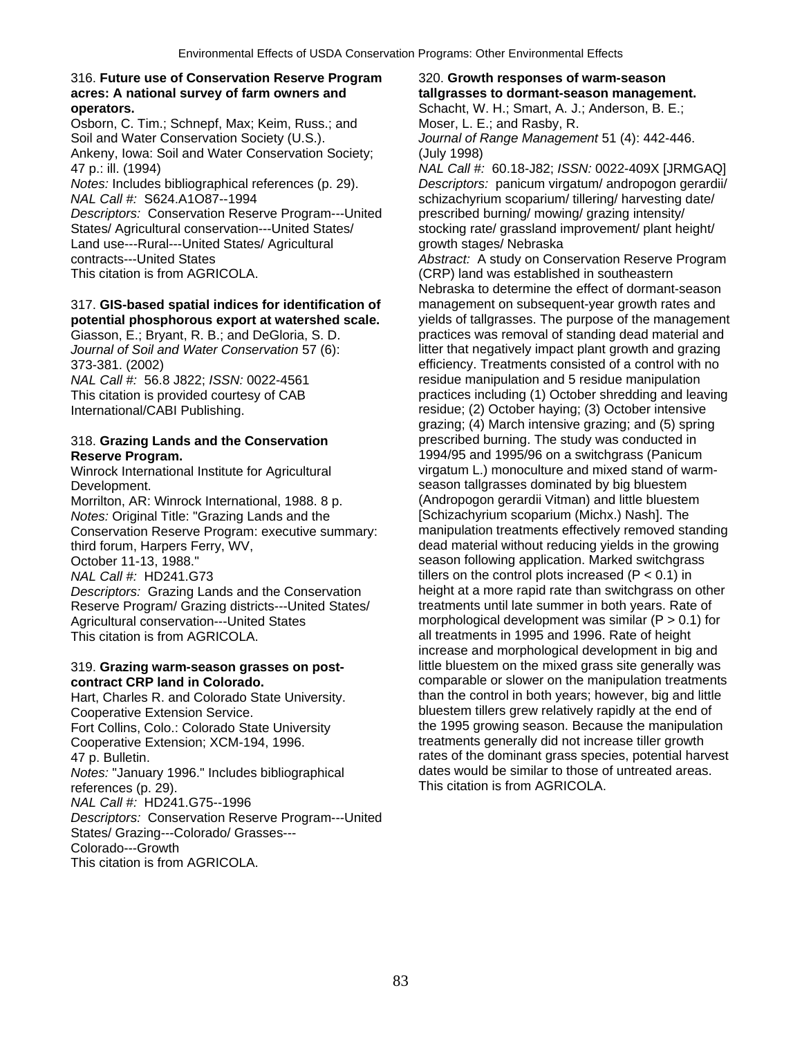### 316. **Future use of Conservation Reserve Program** 320. **Growth responses of warm-season acres: A national survey of farm owners and tallgrasses to dormant-season management. operators. operators. Schacht, W. H.; Smart, A. J.; Anderson, B. E.;** Anderson, B. E.;

Osborn, C. Tim.; Schnepf, Max; Keim, Russ.; and Moser, L. E.; and Rasby, R. Soil and Water Conservation Society (U.S.). *Journal of Range Management* 51 (4): 442-446. Ankeny, Iowa: Soil and Water Conservation Society; (July 1998) 47 p.: ill. (1994) *NAL Call #:* 60.18-J82; *ISSN:* 0022-409X [JRMGAQ]

*NAL Call #:* S624.A1O87--1994 schizachyrium scoparium/ tillering/ harvesting date/ *Descriptors:* Conservation Reserve Program---United prescribed burning/ mowing/ grazing intensity/

Land use---Rural---United States/ Agricultural growth stages/ Nebraska

# 317. **GIS-based spatial indices for identification of** management on subsequent-year growth rates and

Winrock International Institute for Agricultural

Morrilton, AR: Winrock International, 1988. 8 p. (Andropogon gerardii Vitman) and little bluester<br>Notes: Original Title: "Grazing Lands and the [Schizachyrium scoparium (Michx.) Nashl. The Conservation Reserve Program: executive summary:<br>third forum. Harpers Ferry, WV,

Reserve Program/ Grazing districts---United States/

Cooperative Extension Service.<br>
Fort Collins, Colo.: Colorado State University<br>
Fort Collins, Colo.: Colorado State University<br>
the 1995 growing season. Because the manipulation Fort Collins, Colo.: Colorado State University Cooperative Extension; XCM-194, 1996. The streatments generally did not increase tiller growth *Notes:* "January 1996." Includes bibliographical references (p. 29). This citation is from AGRICOLA. *NAL Call #:* HD241.G75--1996 *Descriptors:* Conservation Reserve Program---United States/ Grazing---Colorado/ Grasses--- Colorado---Growth

This citation is from AGRICOLA.

*Notes:* Includes bibliographical references (p. 29). *Descriptors:* panicum virgatum/ andropogon gerardii/ States/ Agricultural conservation---United States/ stocking rate/ grassland improvement/ plant height/

contracts---United States *Abstract:* A study on Conservation Reserve Program This citation is from AGRICOLA. (CRP) land was established in southeastern Nebraska to determine the effect of dormant-season **potential phosphorous export at watershed scale.** yields of tallgrasses. The purpose of the management Giasson, E.; Bryant, R. B.; and DeGloria, S. D. practices was removal of standing dead material and *Journal of Soil and Water Conservation* 57 (6): litter that negatively impact plant growth and grazing 373-381. (2002) efficiency. Treatments consisted of a control with no *NAL Call #:* 56.8 J822; *ISSN:* 0022-4561 residue manipulation and 5 residue manipulation This citation is provided courtesy of CAB practices including (1) October shredding and leaving<br>
International/CABI Publishing.<br>
practices including (1) October shredding and leaving<br>
practices including (1) October shredd residue; (2) October haying; (3) October intensive grazing; (4) March intensive grazing; and (5) spring 318. **Grazing Lands and the Conservation** prescribed burning. The study was conducted in **Reserve Program.**<br>
Winrock International Institute for Agricultural **1994/95** and 1995/96 on a switchgrass (Panicum<br>
virgatum L.) monoculture and mixed stand of warm-Development.<br>Morrilton, AR: Winrock International, 1988, 8 p. (Andropogon gerardii Vitman) and little bluestem *Notes:* Original Title: "Grazing Lands and the **[Schizachyrium scoparium (Michx.) Nash**]. The Conservation Reserve Program: executive summary: manipulation treatments effectively removed standing third forum, Harpers Ferry, WV, dead material without reducing yields in the growing<br>October 11-13, 1988."<br>Geason following application. Marked switchgrass season following application. Marked switchgrass *NAL Call #:* HD241.G73 tillers on the control plots increased (P < 0.1) in<br>Descriptors: Grazing Lands and the Conservation height at a more rapid rate than switchgrass on other *Descriptors:* Grazing Lands and the Conservation height at a more rapid rate than switchgrass on other Reserve Program/ Grazing districts---United States/ treatments until late summer in both years. Rate of Agricultural conservation---United States morphological development was similar (P > 0.1) for This citation is from AGRICOLA. all treatments in 1995 and 1996. Rate of height increase and morphological development in big and 319. **Grazing warm-season grasses on post-** little bluestem on the mixed grass site generally was **contract CRP land in Colorado. comparable or slower on the manipulation treatments** Hart, Charles R. and Colorado State University. **than the control in both years; however, big and little** 47 p. Bulletin.<br>
Motes: "January 1996." Includes bibliographical dates would be similar to those of untreated areas.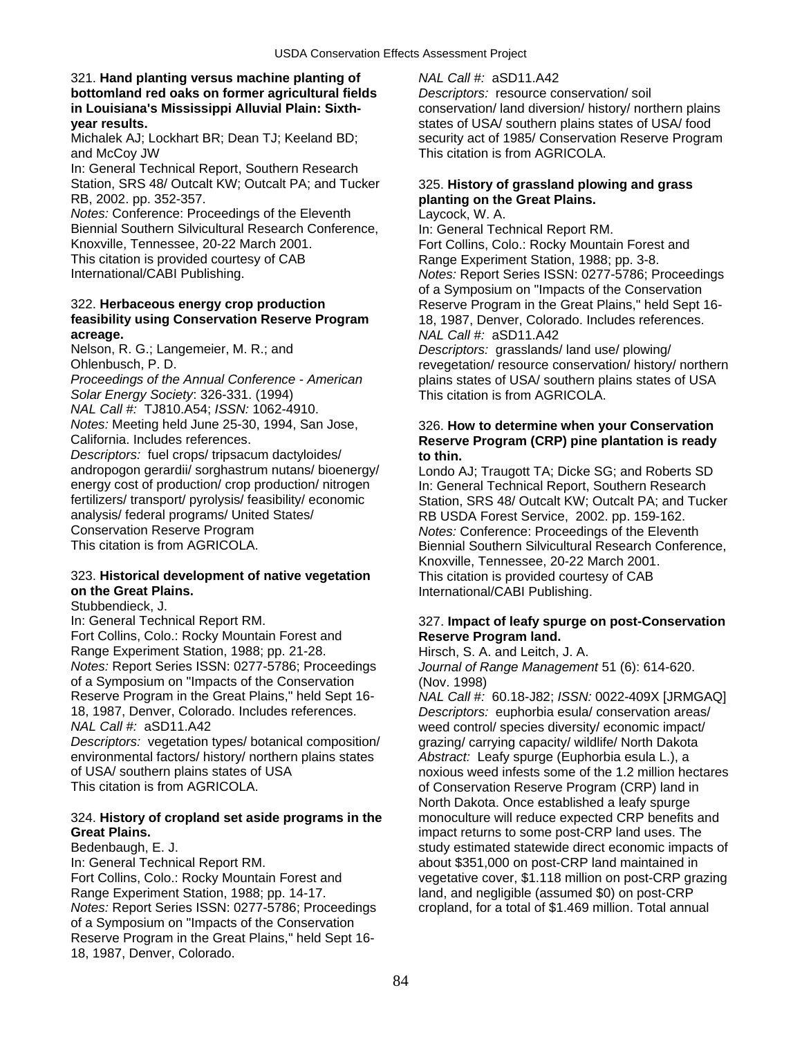### 321. **Hand planting versus machine planting of** *NAL Call #:* aSD11.A42 **bottomland red oaks on former agricultural fields** *Descriptors:* resource conservation/ soil **in Louisiana's Mississippi Alluvial Plain: Sixth-** conservation/ land diversion/ history/ northern plains **year results.** states of USA/ southern plains states of USA/ food

and McCoy JW This citation is from AGRICOLA.

In: General Technical Report, Southern Research Station, SRS 48/ Outcalt KW; Outcalt PA; and Tucker 325. **History of grassland plowing and grass**  RB, 2002. pp. 352-357. **planting on the Great Plains.** 

*Notes:* Conference: Proceedings of the Eleventh Laycock, W. A. Biennial Southern Silvicultural Research Conference, In: General Technical Report RM. Knoxville, Tennessee, 20-22 March 2001. Fort Collins, Colo.: Rocky Mountain Forest and<br>This citation is provided courtesy of CAB Range Experiment Station. 1988: pp. 3-8. This citation is provided courtesy of CAB Range Experiment Station, 1988; pp. 3-8.<br>
Range Experiment Station, 1988; pp. 3-8.<br>
Notes: Report Series ISSN: 0277-5786; P

# **feasibility using Conservation Reserve Program** 18, 1987, Denver, Colorado. Includes references. **acreage.** *NAL Call #:* aSD11.A42

*Proceedings of the Annual Conference - American* plains states of USA/ southern plains states of USA *Solar Energy Society*: 326-331. (1994) This citation is from AGRICOLA.

*NAL Call #:* TJ810.A54; *ISSN:* 1062-4910.

*Descriptors:* fuel crops/ tripsacum dactyloides/ **to thin.**<br>andropogon gerardii/ sorghastrum nutans/ bioenergy/ Londo A andropogon gerardii/ sorghastrum nutans/ bioenergy/ Londo AJ; Traugott TA; Dicke SG; and Roberts SD<br>
energy cost of production/ crop production/ nitrogen ln: General Technical Report. Southern Research fertilizers/ transport/ pyrolysis/ feasibility/ economic Station, SRS 48/ Outcalt KW; Outcalt PA; and Tucker<br>
RR USDA Forest Service 2002 pp. 159-162 analysis/ federal programs/ United States/ **RB USDA Forest Service, 2002. pp. 159-162.**<br>Conservation Reserve Program **Reserve States** *Rotes: Conference: Proceedings of the Eleven* Conservation Reserve Program *Notes:* Conference: Proceedings of the Eleventh

# 323. **Historical development of native vegetation** This citation is provided courtesy of CAB

Stubbendieck, J.<br>In: General Technical Report RM. Fort Collins, Colo.: Rocky Mountain Forest and **Reserve Program land.** Range Experiment Station, 1988; pp. 21-28. Hirsch, S. A. and Leitch, J. A. *Notes:* Report Series ISSN: 0277-5786; Proceedings *Journal of Range Management* 51 (6): 614-620. of a Symposium on "Impacts of the Conservation (Nov. 1998) 18, 1987, Denver, Colorado. Includes references. *Descriptors:* euphorbia esula/ conservation areas/

*Descriptors:* vegetation types/ botanical composition/ grazing/ carrying capacity/ wildlife/ North Dakota environmental factors/ history/ northern plains states *Abstract:* Leafy spurge (Euphorbia esula L.), a

## 324. **History of cropland set aside programs in the** monoculture will reduce expected CRP benefits and **Great Plains.** impact returns to some post-CRP land uses. The

In: General Technical Report RM.  $\qquad \qquad \qquad$  about \$351,000 on post-CRP land maintained in Range Experiment Station, 1988; pp. 14-17. land, and negligible (assumed \$0) on post-CRP<br>Notes: Report Series ISSN: 0277-5786; Proceedings cropland, for a total of \$1.469 million. Total annu of a Symposium on "Impacts of the Conservation Reserve Program in the Great Plains," held Sept 16- 18, 1987, Denver, Colorado.

Michalek AJ; Lockhart BR; Dean TJ; Keeland BD; security act of 1985/ Conservation Reserve Program

*Notes:* Report Series ISSN: 0277-5786; Proceedings of a Symposium on "Impacts of the Conservation 322. **Herbaceous energy crop production** Reserve Program in the Great Plains," held Sept 16- Descriptors: grasslands/ land use/ plowing/ Ohlenbusch, P. D. revegetation/ resource conservation/ history/ northern

# *Notes:* Meeting held June 25-30, 1994, San Jose, 326. **How to determine when your Conservation**<br>California, Includes references. **Beserve Program (CRP)** pine plantation is ready **Reserve Program (CRP) pine plantation is ready**

In: General Technical Report, Southern Research Biennial Southern Silvicultural Research Conference, Knoxville, Tennessee, 20-22 March 2001. **on the Great Plains.** International/CABI Publishing.

# **327. Impact of leafy spurge on post-Conservation**

Reserve Program in the Great Plains," held Sept 16- *NAL Call #:* 60.18-J82; *ISSN:* 0022-409X [JRMGAQ] weed control/ species diversity/ economic impact/ of USA/ southern plains states of USA noxious weed infests some of the 1.2 million hectares<br>This citation is from AGRICOLA. **This citation is some of Conservation Reserve Program (CRP)** land in of Conservation Reserve Program (CRP) land in North Dakota. Once established a leafy spurge Bedenbaugh, E. J. Study estimated statewide direct economic impacts of Fort Collins, Colo.: Rocky Mountain Forest and vegetative cover, \$1.118 million on post-CRP grazing cropland, for a total of \$1.469 million. Total annual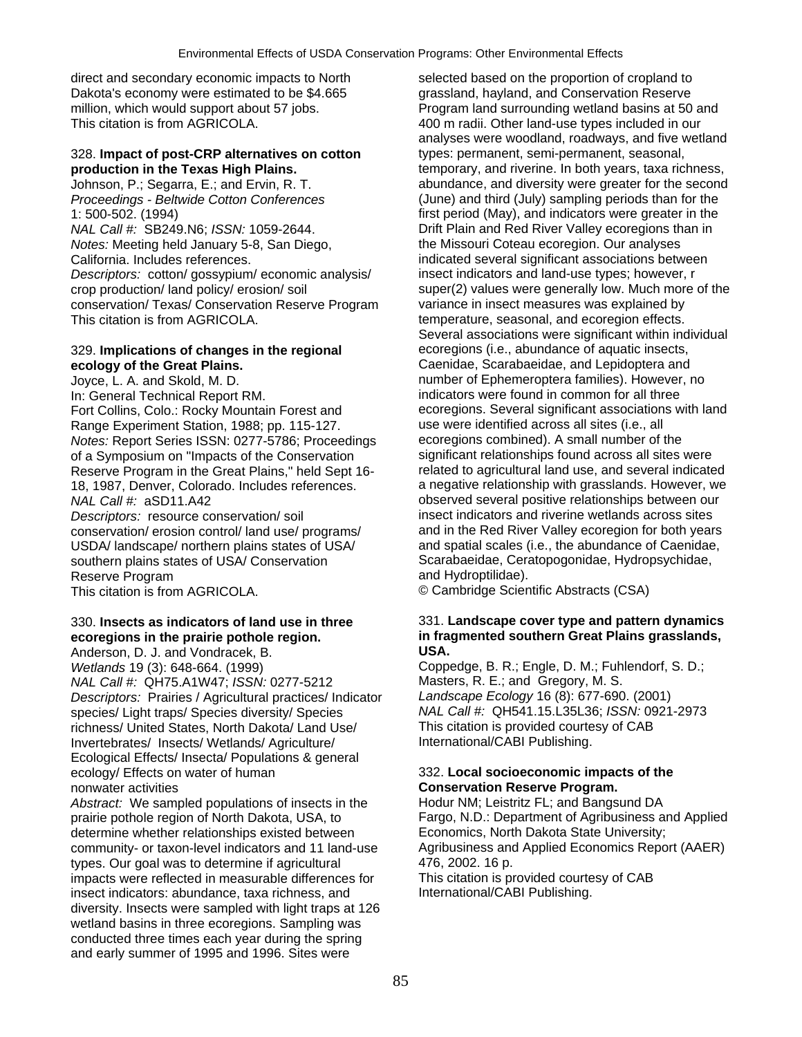direct and secondary economic impacts to North selected based on the proportion of cropland to Dakota's economy were estimated to be \$4.665 grassland, hayland, and Conservation Reserve<br>million, which would support about 57 jobs. Program land surrounding wetland basins at 50

# 328. **Impact of post-CRP alternatives on cotton** types: permanent, semi-permanent, seasonal,

*Proceedings - Beltwide Cotton Conferences* (June) and third (July) sampling periods than for the 1: 500-502. (1994) first period (May), and indicators were greater in the *NAL Call #:* SB249.N6; *ISSN:* 1059-2644. Drift Plain and Red River Valley ecoregions than in *Notes:* Meeting held January 5-8, San Diego, the Missouri Coteau ecoregion. Our analyses California. Includes references. indicated several significant associations between *Descriptors:* cotton/ gossypium/ economic analysis/ insect indicators and land-use types; however, r conservation/ Texas/ Conservation Reserve Program This citation is from AGRICOLA. This citation is from AGRICOLA. This citation is from AGRICOLA.

In: General Technical Report RM. indicators were found in common for all three Range Experiment Station, 1988; pp. 115-127.<br>
Notes: Report Series ISSN: 0277-5786: Proceedings ecoregions combined). A small number of the *Notes:* Report Series ISSN: 0277-5786; Proceedings Reserve Program in the Great Plains," held Sept 16-*NAL Call #:* aSD11.A42 observed several positive relationships between our conservation/ erosion control/ land use/ programs/ and in the Red River Valley ecoregion for both years<br>USDA/ landscape/ northern plains states of USA/ and spatial scales (i.e., the abundance of Caenidae,

Reserve Program<br>This citation is from AGRICOLA.

Anderson, D. J. and Vondracek, B.

*NAL Call #:* QH75.A1W47; *ISSN:* 0277-5212 Masters, R. E.; and Gregory, M. S. *Descriptors:* Prairies / Agricultural practices/ Indicator *Landscape Ecology* 16 (8): 677-690. (2001) species/ Light traps/ Species diversity/ Species **NAL Call #: QH541.15.L35L36;** *ISSN:* 09<br>
richness/ United States. North Dakota/ Land Use/ This citation is provided courtesy of CAB richness/ United States, North Dakota/ Land Use/ This citation is provided courte<br>Invertebrates/ Insects/ Wetlands/ Agriculture/ The International/CABI Publishing. Invertebrates/ Insects/ Wetlands/ Agriculture/ Ecological Effects/ Insecta/ Populations & general ecology/ Effects on water of human 332. **Local socioeconomic impacts of the**  nonwater activities **Conservation Reserve Program.** 

Abstract: We sampled populations of insects in the Hodur NM; Leistritz FL; and Bangsund DA prairie pothole region of North Dakota, USA, to Fargo, N.D.: Department of Agribusiness and Applied<br>determine whether relationships existed between<br>Economics, North Dakota State University: determine whether relationships existed between community- or taxon-level indicators and 11 land-use Agribusiness and Applied Economics Report (AAER) types. Our goal was to determine if agricultural  $476$ , 2002. 16 p.<br>
impacts were reflected in measurable differences for This citation is provided courtesy of CAB impacts were reflected in measurable differences for This citation is provided courte<br>insect indicators: abundance, taxa richness, and Thernational/CABI Publishing. insect indicators: abundance, taxa richness, and diversity. Insects were sampled with light traps at 126 wetland basins in three ecoregions. Sampling was conducted three times each year during the spring and early summer of 1995 and 1996. Sites were

million, which would support about 57 jobs.<br>
This citation is from AGRICOLA.<br>
400 m radii. Other land-use types included in our 400 m radii. Other land-use types included in our analyses were woodland, roadways, and five wetland **production in the Texas High Plains. temporary, and riverine. In both years, taxa richness,** Johnson, P.; Segarra, E.; and Ervin, R. T. **abundance**, and diversity were greater for the second crop production/ land policy/ erosion/ soil super(2) values were generally low. Much more of the<br>conservation/ Texas/ Conservation Reserve Program variance in insect measures was explained by Several associations were significant within individual 329. **Implications of changes in the regional** ecoregions (i.e., abundance of aquatic insects, **ecology of the Great Plains.** Caenidae, Scarabaeidae, and Lepidoptera and Joyce, L. A. and Skold, M. D. number of Ephemeroptera families). However, no Fort Collins, Colo.: Rocky Mountain Forest and ecoregions. Several significant associations with land<br>Range Experiment Station, 1988: pp. 115-127.<br>use were identified across all sites (i.e., all of a Symposium on "Impacts of the Conservation significant relationships found across all sites were<br>Reserve Program in the Great Plains." held Sept 16- related to agricultural land use, and several indicated 18, 1987, Denver, Colorado. Includes references. a negative relationship with grasslands. However, we *Descriptors:* resource conservation/ soil insect indicators and riverine wetlands across sites<br>
conservation/ erosion control/ land use/ programs/ and in the Red River Valley ecoregion for both years USDA/ landscape/ northern plains states of USA/ and spatial scales (i.e., the abundance of Caenidae<br>
southern plains states of USA/ Conservation<br>
Scarabaeidae, Ceratopogonidae, Hydropsychidae, southern plains states of USA/ Conservation Scarabaeidae, Ceratopogonic Reserve Program<br>Reserve Program

© Cambridge Scientific Abstracts (CSA)

# 330. **Insects as indicators of land use in three** 331. **Landscape cover type and pattern dynamics ecoregions in the prairie pothole region. in fragmented southern Great Plains grasslands,**<br>Anderson, D. J. and Vondracek, B. **J. J. B. B. J. B. J. B. B. J. B. A.** USA.

*Wetlands* 19 (3): 648-664. (1999) Coppedge, B. R.; Engle, D. M.; Fuhlendorf, S. D.;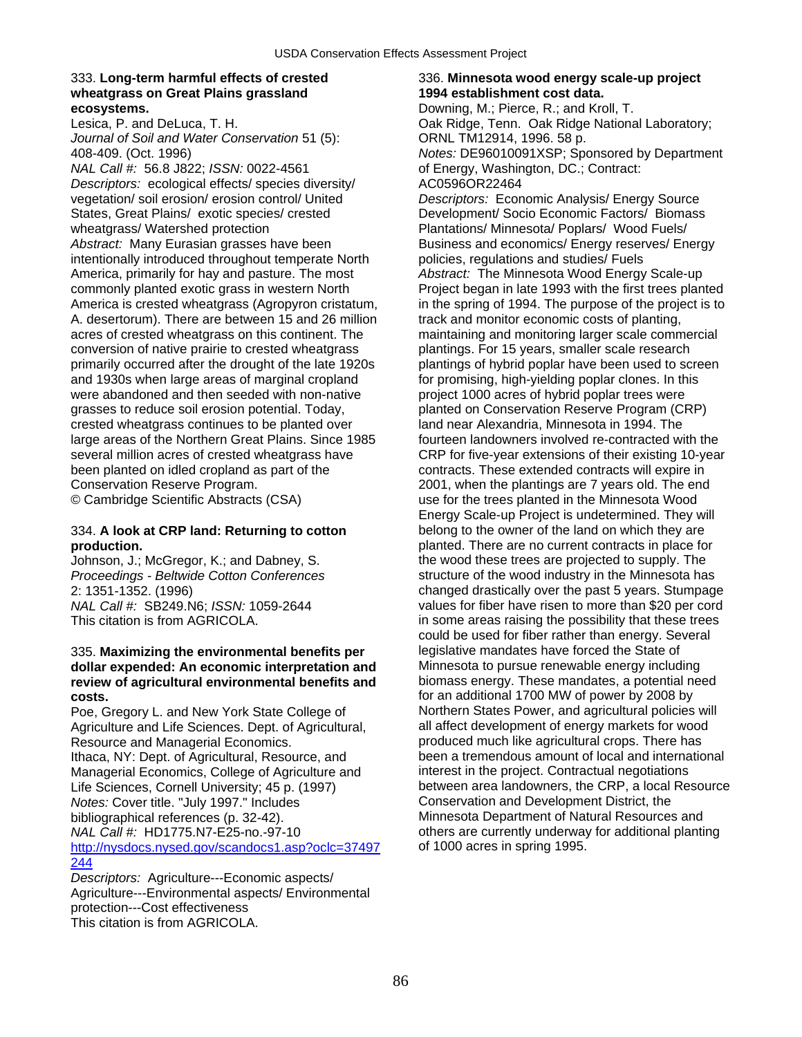### 333. **Long-term harmful effects of crested** 336. **Minnesota wood energy scale-up project wheatgrass on Great Plains grassland 1994 establishment cost data. ecosystems. Downing, M.; Pierce, R.; and Kroll, T. Downing, M.; Pierce, R.; and Kroll, T.**

*Journal of Soil and Water Conservation* 51 (5): ORNL TM12914, 1996. 58 p.

*NAL Call #:* 56.8 J822; *ISSN:* 0022-4561 of Energy, Washington, DC.; Contract: *Descriptors:* ecological effects/ species diversity/ AC0596OR22464 vegetation/ soil erosion/ erosion control/ United *Descriptors:* Economic Analysis/ Energy Source States, Great Plains/ exotic species/ crested Development/ Socio Economic Factors/ Biomass wheatgrass/ Watershed protection **Plantations/ Minnesota/ Poplars/ Wood Fuels/** Poplars/ Wood Fuels/ Abstract: Many Eurasian grasses have been Business and economics/ Energy reserves/ Energy intentionally introduced throughout temperate North policies, regulations and studies/ Fuels America, primarily for hay and pasture. The most *Abstract:* The Minnesota Wood Energy Scale-up commonly planted exotic grass in western North **Project began in late 1993** with the first trees plan A. desertorum). There are between 15 and 26 million track and monitor economic costs of planting, acres of crested wheatgrass on this continent. The maintaining and monitoring larger scale commercial conversion of native prairie to crested wheatgrass plantings. For 15 years, smaller scale research primarily occurred after the drought of the late 1920s plantings of hybrid poplar have been used to screen and 1930s when large areas of marginal cropland for promising, high-yielding poplar clones. In this were abandoned and then seeded with non-native project 1000 acres of hybrid poplar trees were grasses to reduce soil erosion potential. Today, planted on Conservation Reserve Program (CRP) crested wheatgrass continues to be planted over land near Alexandria, Minnesota in 1994. The large areas of the Northern Great Plains. Since 1985 fourteen landowners involved re-contracted with the been planted on idled cropland as part of the contracts. These extended contracts will expire in Conservation Reserve Program. 2001, when the plantings are 7 years old. The end

# 335. **Maximizing the environmental benefits per** legislative mandates have forced the State of **dollar expended: An economic interpretation and** Minnesota to pursue renewable energy including **dollar expended: An economic interpretation and** Minnesota to pursue renewable energy including<br> **Exiew of agricultural environmental benefits and** biomass energy. These mandates, a potential need review of agricultural environmental benefits and

Poe, Gregory L. and New York State College of Northern States Power, and agricultural policies will<br>Agriculture and Life Sciences, Dept. of Agricultural. Agail affect development of energy markets for wood Agriculture and Life Sciences. Dept. of Agricultural, Resource and Managerial Economics.<br>
Ithaca, NY: Dept. of Agricultural, Resource, and been a tremendous amount of local and international Ithaca, NY: Dept. of Agricultural, Resource, and been a tremendous amount of local and international beam been a tremendous amount of local and internations<br>Managerial Economics. College of Agriculture and binterest in the Managerial Economics, College of Agriculture and *Notes:* Cover title. "July 1997." Includes bibliographical references (p. 32-42). Minnesota Department of Natural Resources and<br>
MaL Call #: HD1775.N7-E25-no.-97-10 others are currently underway for additional planti [http://nysdocs.nysed.gov/scandocs1.asp?oclc=37497](http://nysdocs.nysed.gov/scandocs1.asp?oclc=37497244) of 1000 acres in spring 1995. [244](http://nysdocs.nysed.gov/scandocs1.asp?oclc=37497244)

*Descriptors:* Agriculture---Economic aspects/ Agriculture---Environmental aspects/ Environmental protection---Cost effectiveness This citation is from AGRICOLA.

Lesica, P. and DeLuca, T. H. Oak Ridge, Tenn. Oak Ridge National Laboratory; 408-409. (Oct. 1996) *Notes:* DE96010091XSP; Sponsored by Department Project began in late 1993 with the first trees planted America is crested wheatgrass (Agropyron cristatum, in the spring of 1994. The purpose of the project is to several million acres of crested wheatgrass have CRP for five-year extensions of their existing 10-year © Cambridge Scientific Abstracts (CSA) use for the trees planted in the Minnesota Wood Energy Scale-up Project is undetermined. They will 334. **A look at CRP land: Returning to cotton** belong to the owner of the land on which they are **production.**<br> **planted.** There are no current contracts in place for<br>
Johnson, J.; McGregor, K.; and Dabney, S.<br> **planted.** There are no current contracts in place for Johnson, J.; McGregor, K.; and Dabney, S. the wood these trees are projected to supply. The Proceedings - Beltwide Cotton Conferences structure of the wood industry in the Minnesota ha structure of the wood industry in the Minnesota has 2: 1351-1352. (1996) changed drastically over the past 5 years. Stumpage *NAL Call #:* SB249.N6; *ISSN:* 1059-2644 values for fiber have risen to more than \$20 per cord<br>This citation is from AGRICOLA. **in some areas raising the possibility that these trees** in some areas raising the possibility that these trees could be used for fiber rather than energy. Several **costs.**<br> **For an additional 1700 MW of power by 2008 by**<br> **Poe. Gregory L. and New York State College of Morthern States Power, and agricultural policies will** Life Sciences, Cornell University; 45 p. (1997) between area landowners, the CRP, a local Resource<br>
Notes: Cover title. "July 1997." Includes<br>
Conservation and Development District, the others are currently underway for additional planting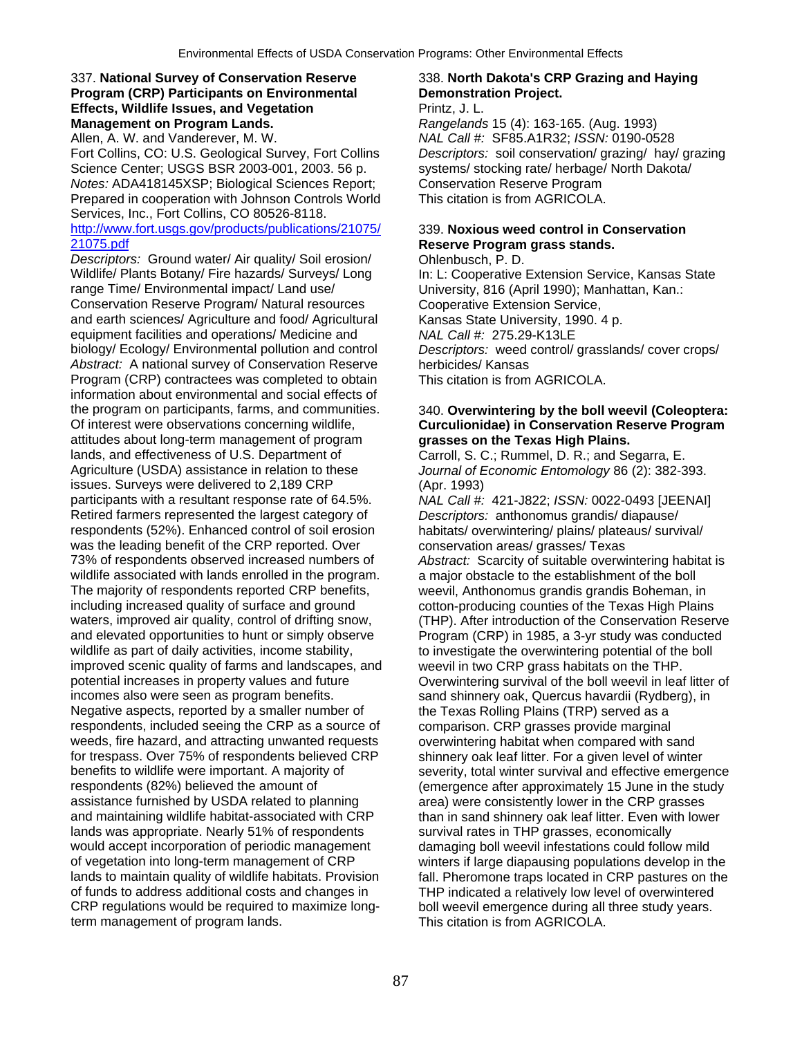## 337. **National Survey of Conservation Reserve** 338. **North Dakota's CRP Grazing and Haying Program (CRP) Participants on Environmental Demonstration Project. Effects, Wildlife Issues, and Vegetation** *Printz, J. L.* **Management on Program Lands.** *Rangelands* 15 (4): 163-165. (Aug. 1993)

Allen, A. W. and Vanderever, M. W. *NAL Call #:* SF85.A1R32; *ISSN:* 0190-0528 Science Center; USGS BSR 2003-001, 2003. 56 p. systems/ stocking rate/ herbage/ North Dakota/ *Notes:* ADA418145XSP; Biological Sciences Report; Conservation Reserve Program Prepared in cooperation with Johnson Controls World This citation is from AGRICOLA. Services, Inc., Fort Collins, CO 80526-8118.

### [http://www.fort.usgs.gov/products/publications/21075/](http://www.fort.usgs.gov/products/publications/21075/21075.pdf) 339. **Noxious weed control in Conservation**  [21075.pdf](http://www.fort.usgs.gov/products/publications/21075/21075.pdf) **Reserve Program grass stands.**

*Descriptors:* Ground water/ Air quality/ Soil erosion/ Ohlenbusch, P. D. Wildlife/ Plants Botany/ Fire hazards/ Surveys/ Long In: L: Cooperative Extension Service, Kansas State<br>
range Time/ Environmental impact/ Land use/ University, 816 (April 1990); Manhattan, Kan.: Conservation Reserve Program/ Natural resources Cooperative Extension Service, and earth sciences/ Agriculture and food/ Agricultural Kansas State University, 1990. 4 p. equipment facilities and operations/ Medicine and *NAL Call #:* 275.29-K13LE biology/ Ecology/ Environmental pollution and control *Descriptors:* weed control/ grasslands/ cover crops/ *Abstract:* A national survey of Conservation Reserve herbicides/ Kansas Program (CRP) contractees was completed to obtain This citation is from AGRICOLA. information about environmental and social effects of the program on participants, farms, and communities. 340. **Overwintering by the boll weevil (Coleoptera:**  Of interest were observations concerning wildlife, **Curculionidae) in Conservation Reserve Program**  attitudes about long-term management of program **grasses on the Texas High Plains.**  lands, and effectiveness of U.S. Department of Agriculture (USDA) assistance in relation to these *Journal of Economic Entomology* 86 (2): 382-393. issues. Surveys were delivered to 2,189 CRP (Apr. 1993) participants with a resultant response rate of 64.5%. *NAL Call #:* 421-J822; *ISSN:* 0022-0493 [JEENAI] Retired farmers represented the largest category of *Descriptors:* anthonomus grandis/ diapause/<br>
respondents (52%). Enhanced control of soil erosion habitats/ overwintering/ plains/ plateaus/ survi was the leading benefit of the CRP reported. Over conservation areas/ grasses/ Texas 73% of respondents observed increased numbers of *Abstract:* Scarcity of suitable overwintering habitat is wildlife associated with lands enrolled in the program. a major obstacle to the establishment of the boll wildlife associated with lands enrolled in the program. The majority of respondents reported CRP benefits, weevil, Anthonomus grandis grandis Boheman, in including increased quality of surface and ground cotton-producing counties of the Texas High Plains<br>waters, improved air quality, control of drifting snow, (THP). After introduction of the Conservation Reserv and elevated opportunities to hunt or simply observe Program (CRP) in 1985, a 3-yr study was conducted wildlife as part of daily activities, income stability, the investigate the overwintering potential of the boll improved scenic quality of farms and landscapes, and weevil in two CRP grass habitats on the THP. potential increases in property values and future Overwintering survival of the boll weevil in leaf litter of incomes also were seen as program benefits. sand shinnery oak, Quercus havardii (Rydberg), in Negative aspects, reported by a smaller number of the Texas Rolling Plains (TRP) served as a respondents, included seeing the CRP as a source of comparison. CRP grasses provide marginal weeds, fire hazard, and attracting unwanted requests overwintering habitat when compared with sand for trespass. Over 75% of respondents believed CRP shinnery oak leaf litter. For a given level of winter benefits to wildlife were important. A majority of severity, total winter survival and effective emergence respondents (82%) believed the amount of (emergence after approximately 15 June in the study assistance furnished by USDA related to planning area) were consistently lower in the CRP grasses and maintaining wildlife habitat-associated with CRP than in sand shinnery oak leaf litter. Even with lower lands was appropriate. Nearly 51% of respondents survival rates in THP grasses, economically would accept incorporation of periodic management damaging boll weevil infestations could follow mild of vegetation into long-term management of CRP winters if large diapausing populations develop in the lands to maintain quality of wildlife habitats. Provision fall. Pheromone traps located in CRP pastures on the<br>of funds to address additional costs and changes in THP indicated a relatively low level of overwintered of funds to address additional costs and changes in THP indicated a relatively low level of overwintered<br>CRP regulations would be required to maximize long-<br>boll weevil emergence during all three study years. term management of program lands. This citation is from AGRICOLA.

Fort Collins, CO: U.S. Geological Survey, Fort Collins *Descriptors:* soil conservation/ grazing/ hay/ grazing

University, 816 (April 1990); Manhattan, Kan.:

habitats/ overwintering/ plains/ plateaus/ survival/ (THP). After introduction of the Conservation Reserve boll weevil emergence during all three study years.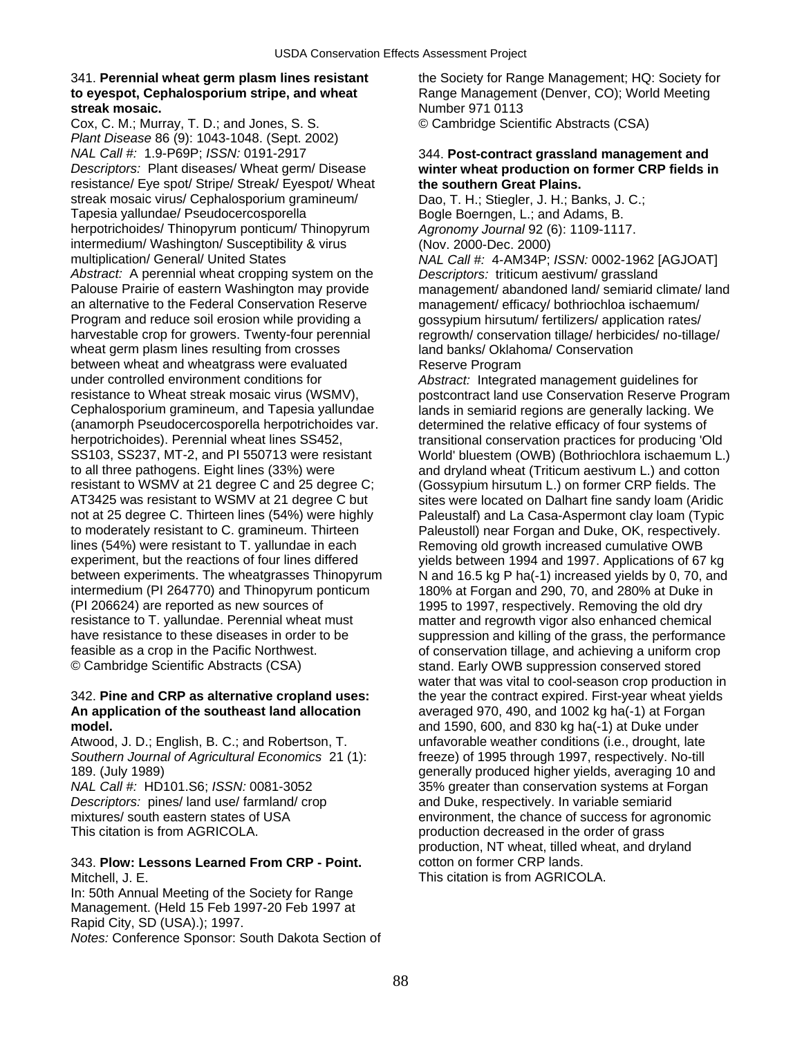# **to eyespot, Cephalosporium stripe, and wheat** Range Management (Denver, CO); World Meeting **streak mosaic. Number 971 0113**

Cox, C. M.; Murray, T. D.; and Jones, S. S. © Cambridge Scientific Abstracts (CSA) *Plant Disease* 86 (9): 1043-1048. (Sept. 2002) *NAL Call #:* 1.9-P69P; *ISSN:* 0191-2917 344. **Post-contract grassland management and**  *Descriptors:* Plant diseases/ Wheat germ/ Disease **winter wheat production on former CRP fields in**  resistance/ Eye spot/ Stripe/ Streak/ Eyespot/ Wheat **the southern Great Plains.**  streak mosaic virus/ Cephalosporium gramineum/ Dao, T. H.; Stiegler, J. H.; Banks, J. C.;<br>Tapesia vallundae/ Pseudocercosporella Boole Boernaen, L.; and Adams. B. herpotrichoides/ Thinopyrum ponticum/ Thinopyrum *Agronomy Journal* 92 (6): 1109-1117. intermedium/ Washington/ Susceptibility & virus (Nov. 2000-Dec. 2000)<br>multiplication/ General/ United States MAL Call #: 4-AM34P: *Abstract:* A perennial wheat cropping system on the *Descriptors:* triticum aestivum/ grassland an alternative to the Federal Conservation Reserve management/ efficacy/ bothriochloa ischaemum/ Program and reduce soil erosion while providing a gossypium hirsutum/ fertilizers/ application rates/ harvestable crop for growers. Twenty-four perennial regrowth/ conservation tillage/ herbicides/ no-tillage/ wheat germ plasm lines resulting from crosses land banks/ Oklahoma/ Conservation between wheat and wheatgrass were evaluated Reserve Program under controlled environment conditions for *Abstract:* Integrated management guidelines for resistance to Wheat streak mosaic virus (WSMV), postcontract land use Conservation Reserve Program<br>Cephalosporium gramineum, and Tapesia yallundae lands in semiarid regions are generally lacking. We (anamorph Pseudocercosporella herpotrichoides var. determined the relative efficacy of four systems of herpotrichoides). Perennial wheat lines SS452, transitional conservation practices for producing 'O herpotrichoides). Perennial wheat lines SS452, transitional conservation practices for producing 'Old<br>SS103, SS237, MT-2, and PI 550713 were resistant World' bluestem (OWB) (Bothriochlora ischaemum L. to all three pathogens. Eight lines (33%) were and dryland wheat (Triticum aestivum L.) and cotton resistant to WSMV at 21 degree C and 25 degree C: (Gossypium hirsutum L.) on former CRP fields. The AT3425 was resistant to WSMV at 21 degree C but sites were located on Dalhart fine sandy loam (Aridic not at 25 degree C. Thirteen lines (54%) were highly Paleustalf) and La Casa-Aspermont clay loam (Typic to moderately resistant to C. gramineum. Thirteen Paleustoll) near Forgan and Duke, OK, respectively. lines (54%) were resistant to T. yallundae in each Removing old growth increased cumulative OWB experiment, but the reactions of four lines differed yields between 1994 and 1997. Applications of 67 kg<br>between experiments. The wheatgrasses Thinopyrum N and 16.5 kg P ha(-1) increased yields by 0, 70, and intermedium (PI 264770) and Thinopyrum ponticum 180% at Forgan and 290, 70, and 280% at Duke in (PI 206624) are reported as new sources of 1995 to 1997, respectively. Removing the old dry<br>
resistance to T. yallundae. Perennial wheat must matter and regrowth vigor also enhanced chemica resistance to T. yallundae. Perennial wheat must matter and regrowth vigor also enhanced chemical<br>have resistance to these diseases in order to be suppression and killing of the grass, the performanc feasible as a crop in the Pacific Northwest.<br>
© Cambridge Scientific Abstracts (CSA) 
Stand, Early OWB suppression conserved stored

# **An application of the southeast land allocation** averaged 970, 490, and 1002 kg ha(-1) at Forgan **model.** and 1590, 600, and 830 kg ha(-1) at Duke under

Atwood, J. D.; English, B. C.; and Robertson, T. unfavorable weather conditions (i.e., drought, late *Southern Journal of Agricultural Economics* 21 (1): freeze) of 1995 through 1997, respectively. No-till *NAL Call #:* HD101.S6; *ISSN:* 0081-3052 35% greater than conservation systems at Forgan

*Descriptors:* pines/ land use/ farmland/ crop and Duke, respectively. In variable semiarid This citation is from AGRICOLA. **production decreased in the order of grass** 

### 343. **Plow: Lessons Learned From CRP - Point.** cotton on former CRP lands. Mitchell, J. E. This citation is from AGRICOLA.

In: 50th Annual Meeting of the Society for Range Management. (Held 15 Feb 1997-20 Feb 1997 at Rapid City, SD (USA).); 1997. *Notes:* Conference Sponsor: South Dakota Section of

341. **Perennial wheat germ plasm lines resistant** the Society for Range Management; HQ: Society for

Bogle Boerngen, L.; and Adams, B. MAL Call #: 4-AM34P; *ISSN:* 0002-1962 [AGJOAT] Palouse Prairie of eastern Washington may provide management/ abandoned land/ semiarid climate/ land

lands in semiarid regions are generally lacking. We World' bluestem (OWB) (Bothriochlora ischaemum L.) (Gossypium hirsutum L.) on former CRP fields. The N and 16.5 kg P ha(-1) increased yields by 0, 70, and suppression and killing of the grass, the performance stand. Early OWB suppression conserved stored water that was vital to cool-season crop production in 342. **Pine and CRP as alternative cropland uses:** the year the contract expired. First-year wheat yields 189. (July 1989) generally produced higher yields, averaging 10 and mixtures/ south eastern states of USA environment, the chance of success for agronomic production, NT wheat, tilled wheat, and dryland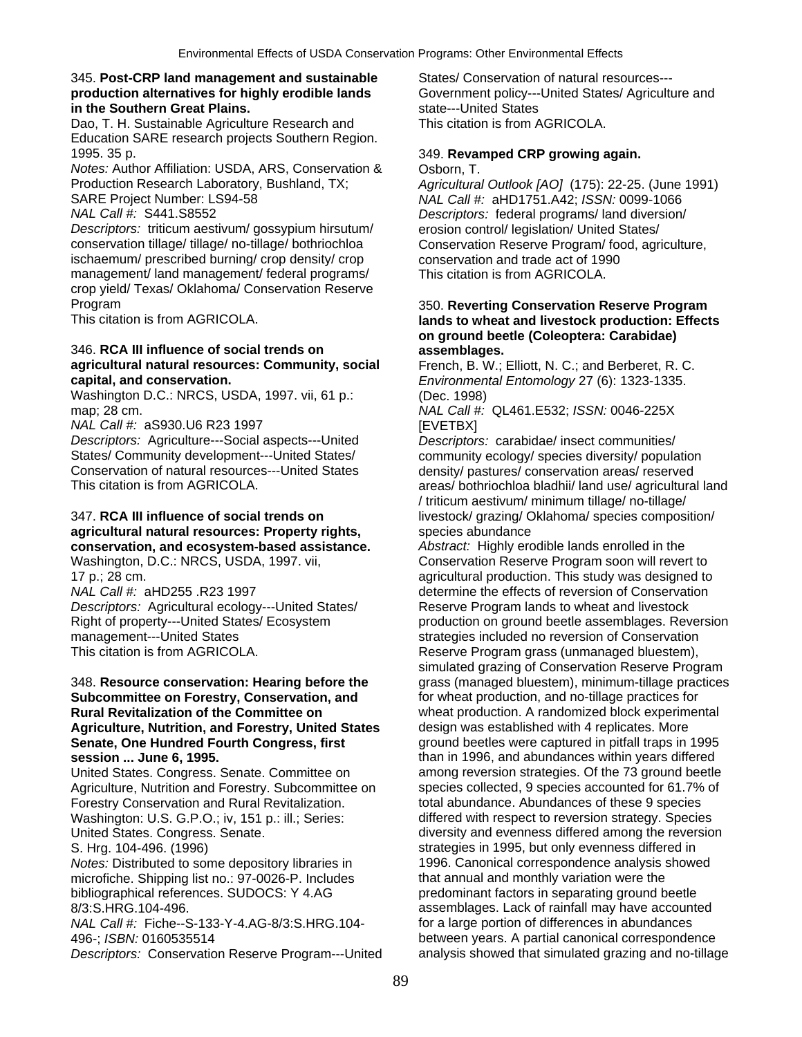### 345. **Post-CRP land management and sustainable** States/ Conservation of natural resources-- **production alternatives for highly erodible lands** Government policy---United States/ Agriculture and **in the Southern Great Plains. State---United States in the Southern Great Plains.**

Dao, T. H. Sustainable Agriculture Research and This citation is from AGRICOLA. Education SARE research projects Southern Region. 1995. 35 p. 349. **Revamped CRP growing again.** 

*Notes: Author Affiliation: USDA, ARS, Conservation & Osborn, T.* Production Research Laboratory, Bushland, TX; *Agricultural Outlook [AO]* (175): 22-25. (June 1991)

*Descriptors:* triticum aestivum/ gossypium hirsutum/ erosion control/ legislation/ United States/ conservation tillage/ tillage/ no-tillage/ bothriochloa Conservation Reserve Program/ food, agriculture, ischaemum/ prescribed burning/ crop density/ crop conservation and trade act of 1990<br>management/ land management/ federal programs/ This citation is from AGRICOLA. management/ land management/ federal programs/ crop yield/ Texas/ Oklahoma/ Conservation Reserve

### 346. **RCA III influence of social trends on assemblages. agricultural natural resources: Community, social** French, B. W.; Elliott, N. C.; and Berberet, R. C. **capital, and conservation.** *Environmental Entomology* 27 (6): 1323-1335.

Washington D.C.: NRCS, USDA, 1997. vii, 61 p.: (Dec. 1998)<br>map: 28 cm. (*NAL Call #:* 

*NAL Call #:* aS930.U6 R23 1997 [EVETBX]

*Descriptors:* Agriculture---Social aspects---United *Descriptors:* carabidae/ insect communities/ Conservation of natural resources---United States density/ pastures/ conservation areas/ reserved<br>This citation is from AGRICOLA.<br>areas/ bothriochloa bladhii/ land use/ agricultura

# 347. **RCA III influence of social trends on** livestock/ grazing/ Oklahoma/ species composition/ **agricultural natural resources: Property rights, example 19 species abundance conservation, and ecosystem-based assistance.** *Abstract:* Highly erodible lands enrolled in the

*Descriptors:* Agricultural ecology---United States/ Reserve Program lands to wheat and livestock management---United States strategies included no reversion of Conservation This citation is from AGRICOLA. This citation is from AGRICOLA. Reserve Program grass (unmanaged bluestem),

**Subcommittee on Forestry, Conservation, and**  $\qquad$  **for wheat production, and no-tillage practices for Rural Revitalization of the Committee on endomical order than the vertex vertex vertex A randomized block experimental A replicates. More and Forestry, United States design was established with 4 replicates. More Agriculture, Nutrition, and Forestry, United States Senate, One Hundred Fourth Congress, first** ground beetles were captured in pitfall traps in 1995

Agriculture, Nutrition and Forestry. Subcommittee on Forestry Conservation and Rural Revitalization. The stotal abundance. Abundances of these 9 species Washington: U.S. G.P.O.; iv, 151 p.: ill.; Series: differed with respect to reversion strategy. Species United States. Congress. Senate.  $\qquad \qquad$  diversity and evenness differed among the reversion

microfiche. Shipping list no.: 97-0026-P. Includes bibliographical references. SUDOCS: Y 4.AG predominant factors in separating ground beetle

*NAL Call #: Fiche--S-133-Y-4.AG-8/3:S.HRG.104-*

SARE Project Number: LS94-58 *NAL Call #:* aHD1751.A42; *ISSN:* 0099-1066 *Descriptors:* federal programs/ land diversion/

# Program 350. **Reverting Conservation Reserve Program**  lands to wheat and livestock production: Effects **on ground beetle (Coleoptera: Carabidae)**

map; 28 cm. *NAL Call #:* QL461.E532; *ISSN:* 0046-225X

community ecology/ species diversity/ population areas/ bothriochloa bladhii/ land use/ agricultural land / triticum aestivum/ minimum tillage/ no-tillage/

Washington, D.C.: NRCS, USDA, 1997. vii, Conservation Reserve Program soon will revert to 17 p.; 28 cm. agricultural production. This study was designed to *NAL Call #:* aHD255 .R23 1997 determine the effects of reversion of Conservation Right of property---United States/ Ecosystem production on ground beetle assemblages. Reversion simulated grazing of Conservation Reserve Program 348. **Resource conservation: Hearing before the** grass (managed bluestem), minimum-tillage practices **session ... June 6, 1995.**<br>
United States. Congress. Senate. Committee on **than in 1996**, and abundances within years differed United States. Congress. Senate. Committee on among reversion strategies. Of the 73 ground beetle species collected. 9 species accounted for 61.7% of S. Hrg. 104-496. (1996) strategies in 1995, but only evenness differed in *Notes:* Distributed to some depository libraries in 1996. Canonical correspondence analysis showed<br>microfiche. Shipping list no.: 97-0026-P. Includes that annual and monthly variation were the 8/3:S.HRG.104-496.<br>
MAL Call #: Fiche--S-133-Y-4.AG-8/3:S.HRG.104- for a large portion of differences in abundances 496-; *ISBN:* 0160535514 between years. A partial canonical correspondence *Descriptors:* Conservation Reserve Program---United analysis showed that simulated grazing and no-tillage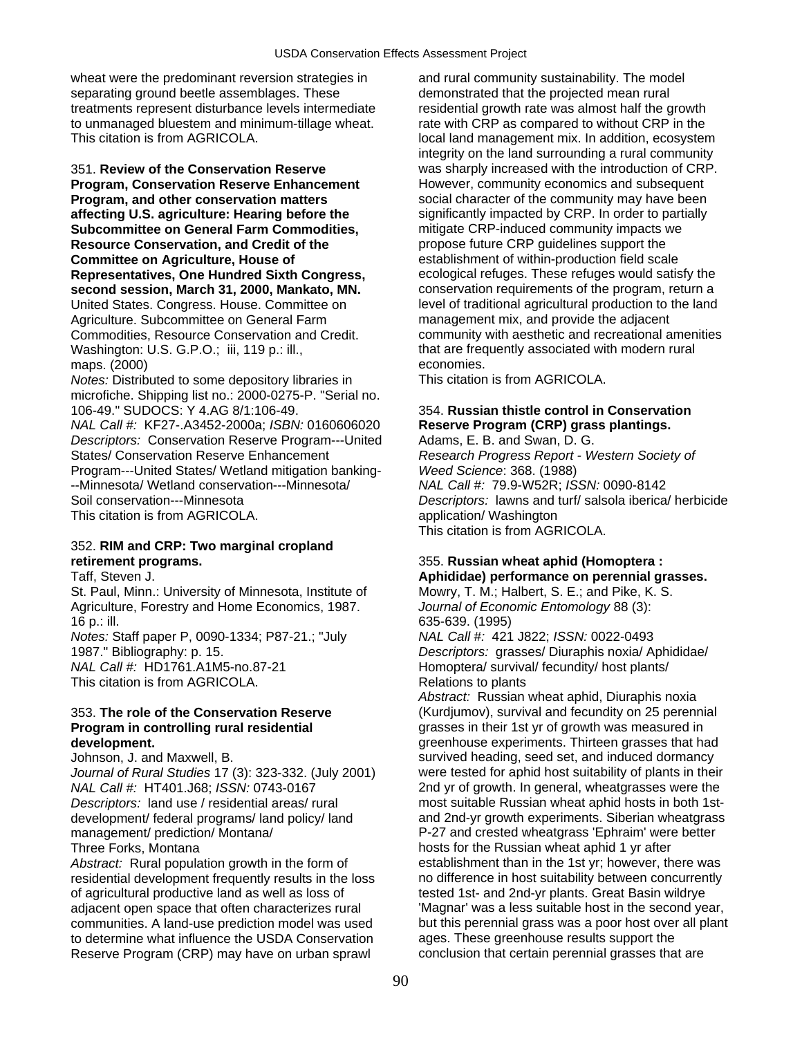wheat were the predominant reversion strategies in and rural community sustainability. The model separating ground beetle assemblages. These demonstrated that the projected mean rural treatments represent disturbance levels intermediate residential growth rate was almost half the growth to unmanaged bluestem and minimum-tillage wheat. That with CRP as compared to without CRP in the This citation is from AGRICOLA. local land management mix. In addition, ecosystem

**Program, Conservation Reserve Enhancement** However, community economics and subsequent **Program, and other conservation matters social character of the community may have been affecting U.S. agriculture: Hearing before the** significantly impacted by CRP. In order to partially **Subcommittee on General Farm Commodities,** mitigate CRP-induced community impacts we **Resource Conservation, and Credit of the** *propose future CRP guidelines support the**propose future CRP guidelines support the* **Representatives, One Hundred Sixth Congress,** Agriculture. Subcommittee on General Farm management mix, and provide the adjacent Washington: U.S. G.P.O.; iii, 119 p.: ill., that are frequently associated with modern rural maps. (2000) economies.

*Notes:* Distributed to some depository libraries in This citation is from AGRICOLA. microfiche. Shipping list no.: 2000-0275-P. "Serial no.<br>106-49." SUDOCS: Y 4.AG 8/1:106-49.

*NAL Call #:* KF27-.A3452-2000a; *ISBN:* 0160606020 **Reserve Program (CRP) grass plantings.**  *Descriptors:* Conservation Reserve Program---United Adams, E. B. and Swan, D. G. States/ Conservation Reserve Enhancement *Research Progress Report - Western Society of*  Program---United States/ Wetland mitigation banking- *Weed Science*: 368. (1988) --Minnesota/ Wetland conservation---Minnesota/ *NAL Call #:* 79.9-W52R; *ISSN:* 0090-8142 Soil conservation---Minnesota *Descriptors:* lawns and turf/ salsola iberica/ herbicide This citation is from AGRICOLA. And application/ Washington

## 352. **RIM and CRP: Two marginal cropland retirement programs.** 355. **Russian wheat aphid (Homoptera :**

St. Paul, Minn.: University of Minnesota, Institute of Mowry, T. M.; Halbert, S. E.; and Pike, K. S. Agriculture, Forestry and Home Economics, 1987. *Journal of Economic Entomology* 88 (3): 16 p.: ill. 635-639. (1995) *Notes:* Staff paper P, 0090-1334; P87-21.; "July *NAL Call #:* 421 J822; *ISSN:* 0022-0493 1987." Bibliography: p. 15. *Descriptors:* grasses/ Diuraphis noxia/ Aphididae/

This citation is from AGRICOLA. Relations to plants

*Journal of Rural Studies* 17 (3): 323-332. (July 2001) were tested for aphid host suitability of plants in their *NAL Call #:* HT401.J68; *ISSN:* 0743-0167 2nd yr of growth. In general, wheatgrasses were the *Descriptors:* land use / residential areas/ rural most suitable Russian wheat aphid hosts in both 1stmanagement/ prediction/ Montana/ P-27 and crested wheatgrass 'Ephraim' were better Three Forks, Montana hosts for the Russian wheat aphid 1 yr after

*Abstract:* Rural population growth in the form of establishment than in the 1st yr; however, there was residential development frequently results in the loss on difference in host suitability between concurrently residential development frequently results in the loss of agricultural productive land as well as loss of tested 1st- and 2nd-yr plants. Great Basin wildrye to determine what influence the USDA Conservation ages. These greenhouse results support the Reserve Program (CRP) may have on urban sprawl conclusion that certain perennial grasses that are

integrity on the land surrounding a rural community 351. **Review of the Conservation Reserve** was sharply increased with the introduction of CRP. **Committee on Agriculture, House of establishment of within-production field scale<br>
Representatives, One Hundred Sixth Congress, entity ecological refuges. These refuges would satisfy the second session, March 31, 2000, Mankato, MN. conservation requirements of the program, return a** United States. Congress. House. Committee on level of traditional agricultural production to the land Commodities, Resource Conservation and Credit. community with aesthetic and recreational amenities

# **154. Russian thistle control in Conservation**

This citation is from AGRICOLA.

# Taff, Steven J. **Aphididae) performance on perennial grasses.**

*NAL Call #:* HD1761.A1M5-no.87-21 Homoptera/ survival/ fecundity/ host plants/

*Abstract:* Russian wheat aphid, Diuraphis noxia 353. **The role of the Conservation Reserve** (Kurdjumov), survival and fecundity on 25 perennial **Program in controlling rural residential example 3 and grasses in their 1st yr of growth was measured in development. development. greenhouse experiments. Thirteen grasses that had Johnson, J. and Maxwell, B. <b>State Communist** Survived heading, seed set, and induced dormancy survived heading, seed set, and induced dormancy development/ federal programs/ land policy/ land and 2nd-yr growth experiments. Siberian wheatgrass adjacent open space that often characterizes rural 'Magnar' was a less suitable host in the second year, communities. A land-use prediction model was used but this perennial grass was a poor host over all plant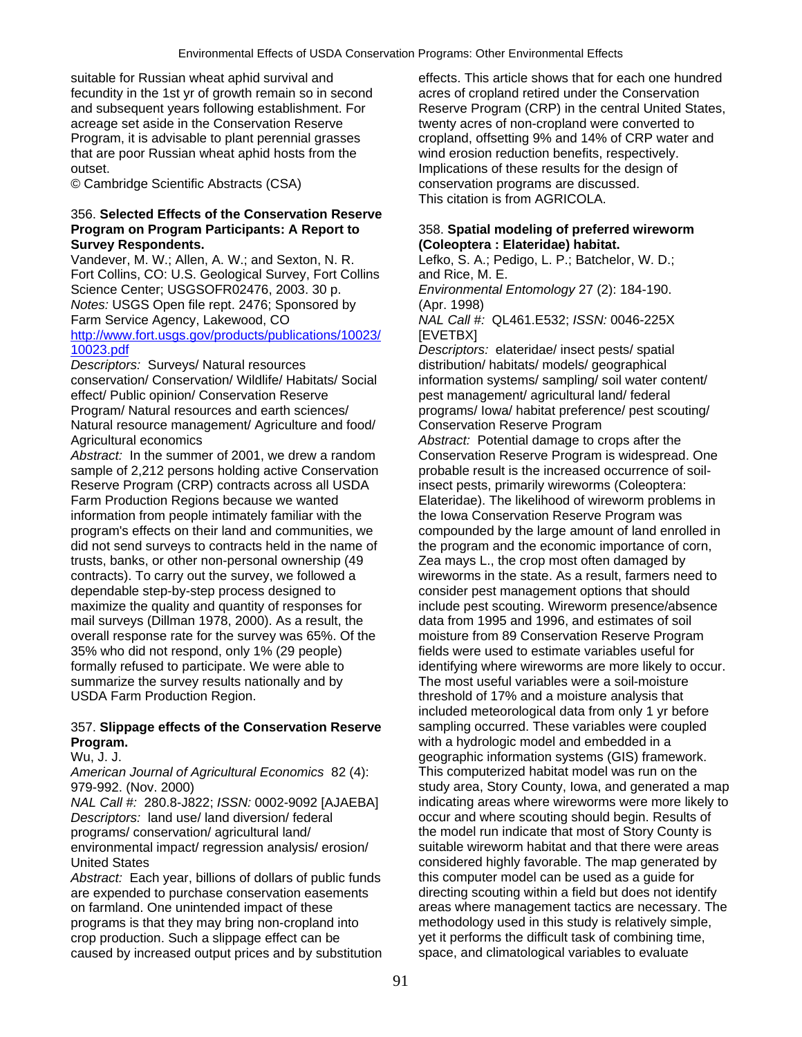fecundity in the 1st yr of growth remain so in second acres of cropland retired under the Conservation<br>and subsequent years following establishment. For Reserve Program (CRP) in the central United Sta acreage set aside in the Conservation Reserve twenty acres of non-cropland were converted to Program, it is advisable to plant perennial grasses cropland, offsetting 9% and 14% of CRP water and that are poor Russian wheat aphid hosts from the wind erosion reduction benefits, respectively. outset. Implications of these results for the design of

© Cambridge Scientific Abstracts (CSA) conservation programs are discussed.

### 356. **Selected Effects of the Conservation Reserve Program on Program Participants: A Report to** 358. **Spatial modeling of preferred wireworm Survey Respondents. (Coleoptera : Elateridae) habitat.**

Vandever, M. W.; Allen, A. W.; and Sexton, N. R. Lefko, S. A.; Pedigo, L. P.; Batchelor, W. D.; Fort Collins, CO: U.S. Geological Survey, Fort Collins and Rice, M. E. Science Center; USGSOFR02476, 2003. 30 p. *Environmental Entomology* 27 (2): 184-190. *Notes:* USGS Open file rept. 2476; Sponsored by (Apr. 1998) Farm Service Agency, Lakewood, CO *NAL Call #:* QL461.E532; *ISSN:* 0046-225X [http://www.fort.usgs.gov/products/publications/10023/](http://www.fort.usgs.gov/products/publications/10023/10023.pdf) [EVETBX] [10023.pdf](http://www.fort.usgs.gov/products/publications/10023/10023.pdf) *Descriptors:* elateridae/ insect pests/ spatial

*Descriptors:* Surveys/ Natural resources distribution/ habitats/ models/ geographical conservation/ Conservation/ Wildlife/ Habitats/ Social information systems/ sampling/ soil water content/ effect/ Public opinion/ Conservation Reserve pest management/ agricultural land/ federal Program/ Natural resources and earth sciences/ programs/ Iowa/ habitat preference/ pest scouting/ Natural resource management/ Agriculture and food/ Conservation Reserve Program

*Abstract:* In the summer of 2001, we drew a random sample of 2,212 persons holding active Conservation probable result is the increased occurrence of soil-Reserve Program (CRP) contracts across all USDA insect pests, primarily wireworms (Coleoptera: Farm Production Regions because we wanted Elateridae). The likelihood of wireworm problems in information from people intimately familiar with the the Iowa Conservation Reserve Program was program's effects on their land and communities, we compounded by the large amount of land enrolled in did not send surveys to contracts held in the name of the program and the economic importance of corn, trusts, banks, or other non-personal ownership (49 Zea mays L., the crop most often damaged by contracts). To carry out the survey, we followed a wireworms in the state. As a result, farmers need to dependable step-by-step process designed to consider pest management options that should maximize the quality and quantity of responses for include pest scouting. Wireworm presence/absence mail surveys (Dillman 1978, 2000). As a result, the data from 1995 and 1996, and estimates of soil overall response rate for the survey was 65%. Of the moisture from 89 Conservation Reserve Program 35% who did not respond, only 1% (29 people) fields were used to estimate variables useful for formally refused to participate. We were able to identifying where wireworms are more likely to occur. summarize the survey results nationally and by The most useful variables were a soil-moisture USDA Farm Production Region. The state of threshold of 17% and a moisture analysis that

## 357. **Slippage effects of the Conservation Reserve** sampling occurred. These variables were coupled **Program. Program. Program. Program. Program. Program. Program. Program. Program. Program. Program. Program. Program. Program. Program. Program. Program. Program. Program. Program. P**

*American Journal of Agricultural Economics 82 (4):* 

*Descriptors:* land use/ land diversion/ federal occur and where scouting should begin. Results of programs/ conservation/ agricultural land/ the model run indicate that most of Story County is environmental impact/ regression analysis/ erosion/ suitable wireworm habitat and that there were areas

*Abstract:* Each year, billions of dollars of public funds this computer model can be used as a guide for are expended to purchase conservation easements directing scouting within a field but does not identify on farmland. One unintended impact of these areas where management tactics are necessary. The programs is that they may bring non-cropland into methodology used in this study is relatively simple, crop production. Such a slippage effect can be yet it performs the difficult task of combining time, caused by increased output prices and by substitution space, and climatological variables to evaluate caused by increased output prices and by substitution

suitable for Russian wheat aphid survival and effects. This article shows that for each one hundred Reserve Program (CRP) in the central United States, This citation is from AGRICOLA.

Agricultural economics<br> *Abstract:* In the summer of 2001, we drew a random *Abstract:* Potential damage to crops after the<br>
Conservation Reserve Program is widespread. One included meteorological data from only 1 yr before Wu, J. J.<br>American Journal of Agricultural Economics 82 (4): This computerized habitat model was run on the 979-992. (Nov. 2000) Study area, Story County, Iowa, and generated a map *NAL Call #:* 280.8-J822; *ISSN:* 0002-9092 [AJAEBA] indicating areas where wireworms were more likely to United States **considered highly favorable.** The map generated by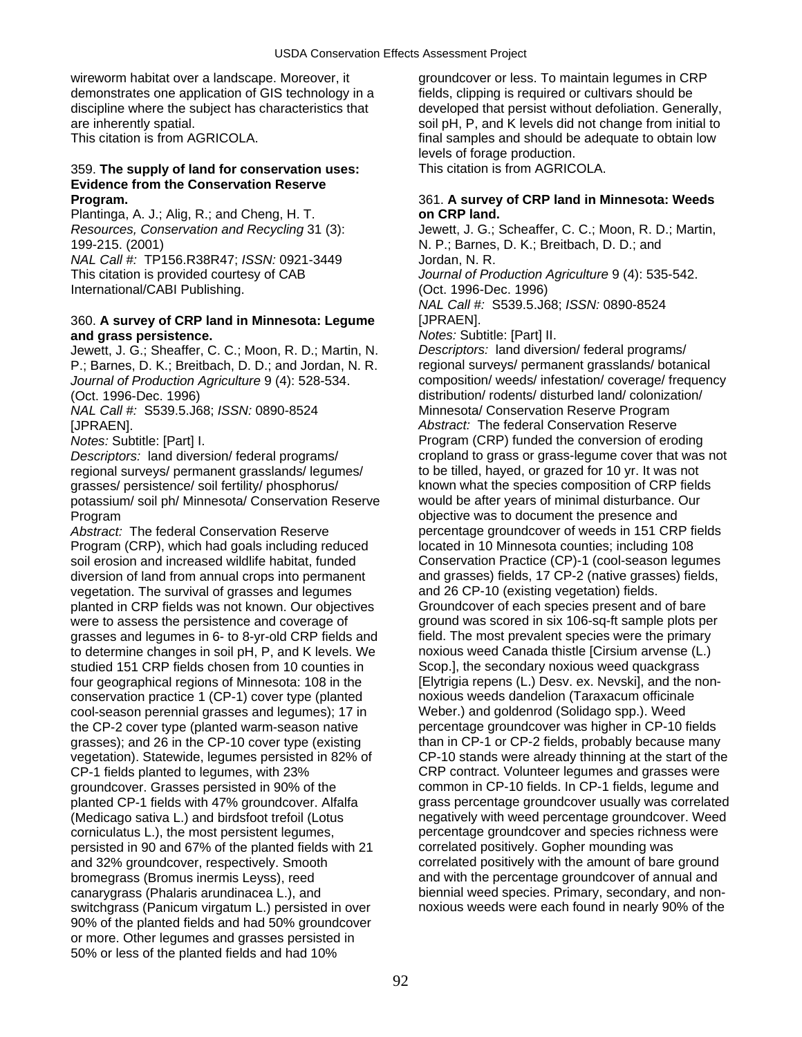wireworm habitat over a landscape. Moreover, it groundcover or less. To maintain legumes in CRP demonstrates one application of GIS technology in a fields, clipping is required or cultivars should be discipline where the subject has characteristics that developed that persist without defoliation. Generally, are inherently spatial. The solid pH, P, and K levels did not change from initial to

# 359. The supply of land for conservation uses: **Evidence from the Conservation Reserve**

Plantinga, A. J.; Alig, R.; and Cheng, H. T. **on CRP land.**  199-215. (2001) N. P.; Barnes, D. K.; Breitbach, D. D.; and *NAL Call #:* TP156.R38R47; *ISSN:* 0921-3449 Jordan, N. R. International/CABI Publishing. (Oct. 1996-Dec. 1996)

### 360. **A survey of CRP land in Minnesota: Legume** [JPRAEN]. **and grass persistence.** *Notes:* Subtitle: [Part] II.

Jewett, J. G.; Sheaffer, C. C.; Moon, R. D.; Martin, N. *Descriptors:* land diversion/ federal programs/ P.; Barnes, D. K.; Breitbach, D. D.; and Jordan, N. R. regional surveys/ permanent grasslands/ botanical *Journal of Production Agriculture* 9 (4): 528-534. composition/ weeds/ infestation/ coverage/ frequency (Oct. 1996-Dec. 1996)<br>
Mistribution/ rodents/ disturbed land/ colonization/<br>
Minnesota/ Conservation Reserve Program *NAL Call #: S539.5.J68; ISSN: 0890-8524* 

regional surveys/ permanent grasslands/ legumes/ to be tilled, hayed, or grazed for 10 yr. It was not potassium/ soil ph/ Minnesota/ Conservation Reserve would be after years of minimal disturbance. Our

Abstract: The federal Conservation Reserve **percentage groundcover of weeds in 151 CRP** fields Program (CRP), which had goals including reduced located in 10 Minnesota counties; including 108 soil erosion and increased wildlife habitat, funded Conservation Practice (CP)-1 (cool-season legumes<br>diversion of land from annual crops into permanent and grasses) fields, 17 CP-2 (native grasses) fields, diversion of land from annual crops into permanent and grasses) fields, 17 CP-2 (native grass<br>vegetation. The survival of grasses and legumes and 26 CP-10 (existing vegetation) fields. vegetation. The survival of grasses and legumes planted in CRP fields was not known. Our objectives Groundcover of each species present and of bare were to assess the persistence and coverage of ground was scored in six 106-sq-ft sample plots per grasses and legumes in 6- to 8-yr-old CRP fields and field. The most prevalent species were the primary to determine changes in soil pH, P, and K levels. We noxious weed Canada thistle [Cirsium arvense (L.) studied 151 CRP fields chosen from 10 counties in Scop.], the secondary noxious weed quackgrass four geographical regions of Minnesota: 108 in the [Elytrigia repens (L.) Desv. ex. Nevski], and the nonconservation practice 1 (CP-1) cover type (planted noxious weeds dandelion (Taraxacum officinale cool-season perennial grasses and legumes); 17 in Weber.) and goldenrod (Solidago spp.). Weed the CP-2 cover type (planted warm-season native percentage groundcover was higher in CP-10 fields<br>
grasses): and 26 in the CP-10 cover type (existing than in CP-1 or CP-2 fields, probably because many grasses); and 26 in the CP-10 cover type (existing CP-1 fields planted to legumes, with 23% CRP contract. Volunteer legumes and grasses were groundcover. Grasses persisted in 90% of the common in CP-10 fields. In CP-1 fields, legume and corniculatus L.), the most persistent legumes, percentage groundcover and species richness were persisted in 90 and 67% of the planted fields with 21 correlated positively. Gopher mounding was and 32% groundcover, respectively. Smooth correlated positively with the amount of bare ground bromegrass (Bromus inermis Leyss), reed and with the percentage groundcover of annual and switchgrass (Panicum virgatum L.) persisted in over 90% of the planted fields and had 50% groundcover or more. Other legumes and grasses persisted in 50% or less of the planted fields and had 10%

This citation is from AGRICOLA. This citation is from AGRICOLA. This citation is from AGRICOLA. levels of forage production.<br>This citation is from AGRICOLA.

# **Program.** 361. **A survey of CRP land in Minnesota: Weeds**

*Resources, Conservation and Recycling* 31 (3): Jewett, J. G.; Scheaffer, C. C.; Moon, R. D.; Martin, This citation is provided courtesy of CAB *Journal of Production Agriculture* 9 (4): 535-542. *NAL Call #:* S539.5.J68; *ISSN:* 0890-8524

[JPRAEN]. *Abstract:* The federal Conservation Reserve *Notes:* Subtitle: [Part] I. Program (CRP) funded the conversion of eroding *Descriptors:* land diversion/ federal programs/ cropland to grass or grass-legume cover that was not grasses/ persistence/ soil fertility/ phosphorus/ known what the species composition of CRP fields Program **objective was to document the presence and** objective was to document the presence and vegetation). Statewide, legumes persisted in 82% of CP-10 stands were already thinning at the start of the planted CP-1 fields with 47% groundcover. Alfalfa grass percentage groundcover usually was correlated (Medicago sativa L.) and birdsfoot trefoil (Lotus negatively with weed percentage groundcover. Weed canarygrass (Phalaris arundinacea L.), and biennial weed species. Primary, secondary, and non-<br>switchgrass (Panicum virgatum L.) persisted in over noxious weeds were each found in nearly 90% of the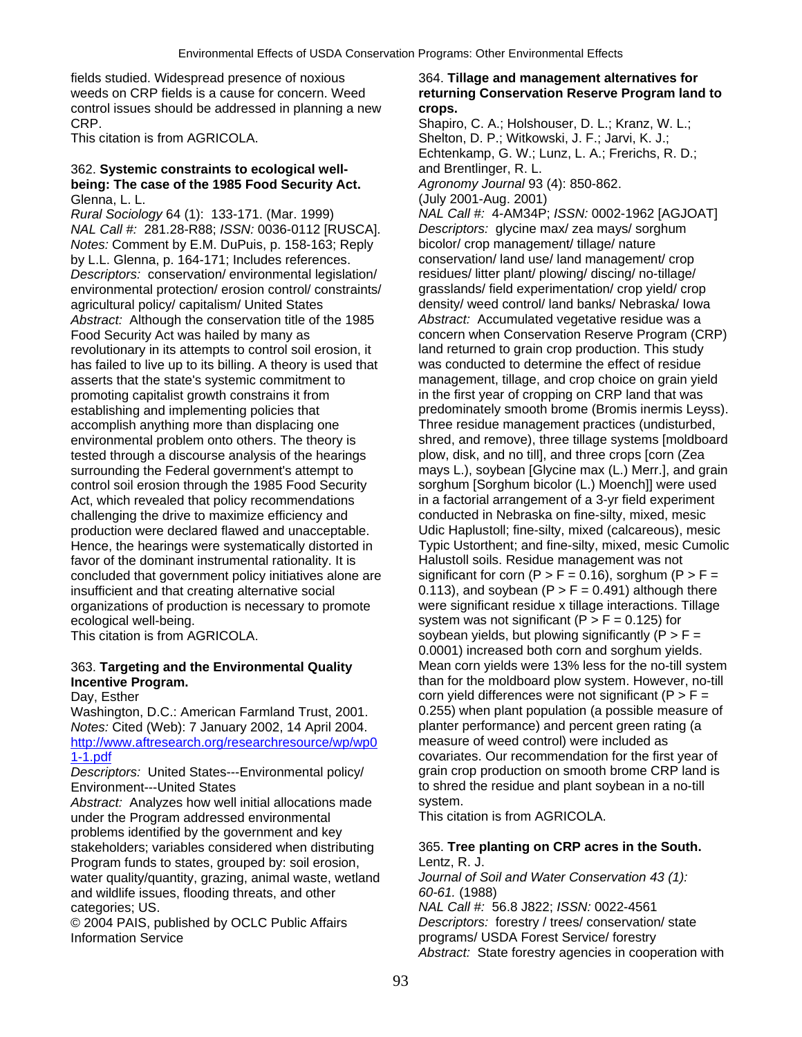fields studied. Widespread presence of noxious 364. **Tillage and management alternatives for**  weeds on CRP fields is a cause for concern. Weed **returning Conservation Reserve Program land to**  control issues should be addressed in planning a new **crops.**  CRP. Shapiro, C. A.; Holshouser, D. L.; Kranz, W. L.;

### 362. **Systemic constraints to ecological well-** and Brentlinger, R. L. **being: The case of the 1985 Food Security Act.** *Agronomy Journal* 93 (4): 850-862. Glenna, L. L. (July 2001-Aug. 2001)

*Rural Sociology* 64 (1): 133-171. (Mar. 1999) *NAL Call #:* 4-AM34P; *ISSN:* 0002-1962 [AGJOAT] *NAL Call #:* 281.28-R88; *ISSN:* 0036-0112 [RUSCA]. *Descriptors:* glycine max/ zea mays/ sorghum *Notes:* Comment by E.M. DuPuis, p. 158-163; Reply bicolor/ crop management/ tillage/ nature by L.L. Glenna, p. 164-171; Includes references. conservation/ land use/ land management/ crop<br>
Descriptors: conservation/ environmental legislation/ residues/ litter plant/ plowing/ discing/ no-tillage/ *Descriptors:* conservation/ environmental legislation/ environmental protection/ erosion control/ constraints/ grasslands/ field experimentation/ crop yield/ crop agricultural policy/ capitalism/ United States density/ weed control/ land banks/ Nebraska/ Iowa *Abstract:* Although the conservation title of the 1985 *Abstract:* Accumulated vegetative residue was a Food Security Act was hailed by many as **concern when Conservation Reserve Program (CRP)** revolutionary in its attempts to control soil erosion, it land returned to grain crop production. This study has failed to live up to its billing. A theory is used that was conducted to determine the effect of residue asserts that the state's systemic commitment to management, tillage, and crop choice on grain yield promoting capitalist growth constrains it from in the first year of cropping on CRP land that was establishing and implementing policies that predominately smooth brome (Bromis inermis Leyss). accomplish anything more than displacing one Three residue management practices (undisturbed, environmental problem onto others. The theory is shred, and remove), three tillage systems [moldboard tested through a discourse analysis of the hearings plow, disk, and no till, and three crops [corn (Zea tested through a discourse analysis of the hearings surrounding the Federal government's attempt to mays L.), soybean [Glycine max (L.) Merr.], and grain<br>control soil erosion through the 1985 Food Security sorghum [Sorghum bicolor (L.) Moench]] were used control soil erosion through the 1985 Food Security Act, which revealed that policy recommendations in a factorial arrangement of a 3-yr field experiment challenging the drive to maximize efficiency and conducted in Nebraska on fine-silty, mixed, mesic production were declared flawed and unacceptable. Udic Haplustoll; fine-silty, mixed (calcareous), mesic Hence, the hearings were systematically distorted in Typic Ustorthent; and fine-silty, mixed, mesic Cumolic favor of the dominant instrumental rationality. It is Halustoll soils. Residue management was not<br>concluded that government policy initiatives alone are significant for corn ( $P > F = 0.16$ ), sorghum ( $P > F =$ concluded that government policy initiatives alone are insufficient and that creating alternative social  $0.113$ , and soybean (P  $>$  F = 0.491) although there organizations of production is necessary to promote were significant residue x tillage interactions. Tillage ecological well-being. system was not significant (P > F = 0.125) for

Washington, D.C.: American Farmland Trust, 2001. (a b. 255) when plant population (a possible measure version of the More of American Farma (a version of More of More of More of More of More of More of More of More of More *Notes:* Cited (Web): 7 January 2002, 14 April 2004. planter performance) and percent green rating http://www.aftresearch.org/researchresource/wp/wp0 measure of weed control) were included as [http://www.aftresearch.org/researchresource/wp/wp0](http://www.aftresearch.org/researchresource/wp/wp01-1.pdf)

*Descriptors:* United States---Environmental policy/ Environment---United States to shred the residue and plant soybean in a no-till

*Abstract:* Analyzes how well initial allocations made system.<br>
under the Program addressed environmental This citation is from AGRICOLA. under the Program addressed environmental problems identified by the government and key stakeholders; variables considered when distributing 365. **Tree planting on CRP acres in the South.**  Program funds to states, grouped by: soil erosion, Lentz, R. J. water quality/quantity, grazing, animal waste, wetland *Journal of Soil and Water Conservation 43 (1):* and wildlife issues, flooding threats, and other *60-61.* (1988) categories; US. *NAL Call #:* 56.8 J822; *ISSN:* 0022-4561

© 2004 PAIS, published by OCLC Public Affairs *Descriptors:* forestry / trees/ conservation/ state Information Service programs/ USDA Forest Service/ forestry

This citation is from AGRICOLA. Shelton, D. P.; Witkowski, J. F.; Jarvi, K. J.; Echtenkamp, G. W.; Lunz, L. A.; Frerichs, R. D.; This citation is from AGRICOLA. Solution of the sover soybean yields, but plowing significantly (P  $>$  F = 0.0001) increased both corn and sorghum yields. 363. **Targeting and the Environmental Quality** Mean corn yields were 13% less for the no-till system **Incentive Program. Incentive Program. than for the moldboard plow system. However, no-till** Day, Esther  $\overline{C}$  bay, Esther  $\overline{C}$  corn yield differences were not significant (P > F = 0.255) when plant population (a possible measure of [1-1.pdf](http://www.aftresearch.org/researchresource/wp/wp01-1.pdf)<br>
Descriptors: United States---Environmental policy covariates. Our recommendation for the first year of<br>
Descriptors: United States---Environmental policy quality critics on smooth brome CRP land is

*Abstract:* State forestry agencies in cooperation with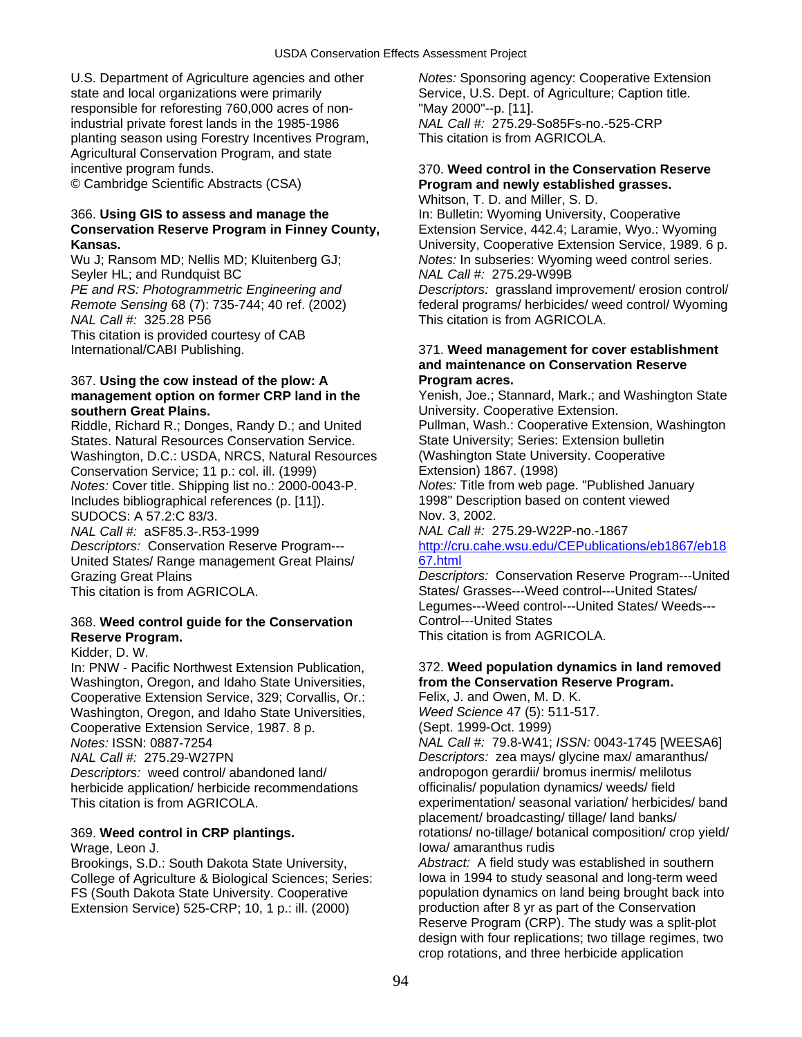U.S. Department of Agriculture agencies and other *Notes:* Sponsoring agency: Cooperative Extension state and local organizations were primarily Service, U.S. Dept. of Agriculture; Caption title. responsible for reforesting 760,000 acres of non-<br>
industrial private forest lands in the 1985-1986<br>
MAL Call #: 275.29-So85Fs-no.-525-CRP industrial private forest lands in the 1985-1986 planting season using Forestry Incentives Program, This citation is from AGRICOLA. Agricultural Conservation Program, and state incentive program funds. 370. **Weed control in the Conservation Reserve** 

### 366. **Using GIS to assess and manage the** In: Bulletin: Wyoming University, Cooperative **Conservation Reserve Program in Finney County,** Extension Service, 442.4; Laramie, Wyo.: Wyoming **Kansas.** University, Cooperative Extension Service, 1989. 6 p.

Seyler HL; and Rundquist BC *NAL Call #:* 275.29-W99B *NAL Call #:* 325.28 P56 This citation is from AGRICOLA. This citation is provided courtesy of CAB

# 367. **Using the cow instead of the plow: A Program acres. southern Great Plains. Notation Constructs Cooperative Extension. University. Cooperative Extension.**

Riddle, Richard R.; Donges, Randy D.; and United Pullman, Wash.: Cooperative Extension, Washington States. Natural Resources Conservation Service. State University; Series: Extension bulletin<br>Washington, D.C.; USDA, NRCS, Natural Resources (Washington State University, Cooperative Washington, D.C.: USDA, NRCS, Natural Resources Conservation Service; 11 p.: col. ill. (1999) Extension) 1867. (1998) *Notes:* Cover title. Shipping list no.: 2000-0043-P. *Notes:* Title from web page. "Published January Includes bibliographical references (p. [11]). SUDOCS: A 57.2:C 83/3. Nov. 3, 2002. *NAL Call #:* aSF85.3-.R53-1999 *NAL Call #:* 275.29-W22P-no.-1867 United States/ Range management Great Plains/ [67.html](http://cru.cahe.wsu.edu/CEPublications/eb1867/eb1867.html)

## 368. Weed control quide for the Conservation **Reserve Program. This citation is from AGRICOLA.**

Kidder, D. W.

Washington, Oregon, and Idaho State Universities, Cooperative Extension Service, 329; Corvallis, Or.: Felix, J. and Owen, M. D. K. Washington, Oregon, and Idaho State Universities, *Weed Science* 47 (5): 511-517. Cooperative Extension Service, 1987. 8 p. (Sept. 1999-Oct. 1999)

*Descriptors:* weed control/ abandoned land/ andropogon gerardii/ bromus inermis/ melilotus herbicide application/ herbicide recommendations officinalis/ population dynamics/ weeds/ field

Brookings, S.D.: South Dakota State University, *Abstract:* A field study was established in southern College of Agriculture & Biological Sciences; Series: Extension Service) 525-CRP; 10, 1 p.: ill. (2000) production after 8 yr as part of the Conservation

# © Cambridge Scientific Abstracts (CSA) **Program and newly established grasses.**

Whitson, T. D. and Miller, S. D. Wu J; Ransom MD; Nellis MD; Kluitenberg GJ; *Notes:* In subseries: Wyoming weed control series.

*PE and RS: Photogrammetric Engineering and Descriptors:* grassland improvement/ erosion control/ *Remote Sensing* 68 (7): 735-744; 40 ref. (2002) federal programs/ herbicides/ weed control/ Wyoming

# International/CABI Publishing. 371. **Weed management for cover establishment and maintenance on Conservation Reserve**

**management option on former CRP land in the** Yenish, Joe.; Stannard, Mark.; and Washington State

*Descriptors:* Conservation Reserve Program--- [http://cru.cahe.wsu.edu/CEPublications/eb1867/eb18](http://cru.cahe.wsu.edu/CEPublications/eb1867/eb1867.html)

Grazing Great Plains *Descriptors:* Conservation Reserve Program---United This citation is from AGRICOLA. States/ Grasses---Weed control---United States/ Legumes---Weed control---United States/ Weeds---<br>Control---United States

# In: PNW - Pacific Northwest Extension Publication, 372. **Weed population dynamics in land removed**

*Notes:* ISSN: 0887-7254 *NAL Call #:* 79.8-W41; *ISSN:* 0043-1745 [WEESA6] *NAL Call #:* 275.29-W27PN *Descriptors:* zea mays/ glycine max/ amaranthus/ This citation is from AGRICOLA. experimentation/ seasonal variation/ herbicides/ band placement/ broadcasting/ tillage/ land banks/ 369. **Weed control in CRP plantings.** rotations/ no-tillage/ botanical composition/ crop yield/ Wrage, Leon J. **Iowa/ amaranthus rudis Wrage, Leon J.** Iowa/ amaranthus rudis

FS (South Dakota State University. Cooperative population dynamics on land being brought back into Reserve Program (CRP). The study was a split-plot design with four replications; two tillage regimes, two crop rotations, and three herbicide application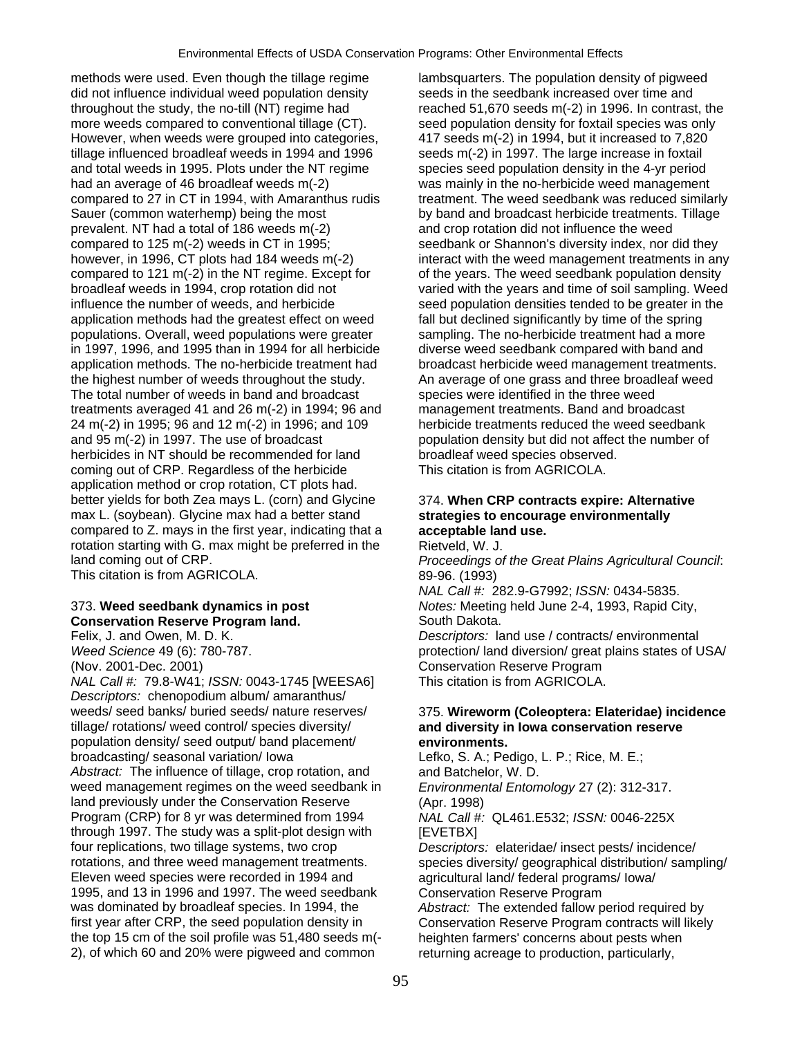methods were used. Even though the tillage regime lambsquarters. The population density of pigweed did not influence individual weed population density seeds in the seedbank increased over time and throughout the study, the no-till (NT) regime had reached 51,670 seeds m(-2) in 1996. In contrast, the more weeds compared to conventional tillage (CT). seed population density for foxtail species was only However, when weeds were grouped into categories,  $\frac{417 \text{ seeds m}(-2)}{10}$  in 1994, but it increased to 7,820 tillage influenced broadleaf weeds in 1994 and 1996 seeds m(-2) in 1997. The large increase in foxtail and total weeds in 1995. Plots under the NT regime species seed population density in the 4-yr period had an average of 46 broadleaf weeds m(-2) was mainly in the no-herbicide weed management compared to 27 in CT in 1994, with Amaranthus rudis treatment. The weed seedbank was reduced similarly Sauer (common waterhemp) being the most by band and broadcast herbicide treatments. Tillage prevalent. NT had a total of 186 weeds m(-2) and crop rotation did not influence the weed compared to 125 m(-2) weeds in CT in 1995; seedbank or Shannon's diversity index, nor did they however, in 1996, CT plots had 184 weeds m(-2) interact with the weed management treatments in any compared to 121 m(-2) in the NT regime. Except for of the years. The weed seedbank population density<br>broadleaf weeds in 1994, crop rotation did not varied with the years and time of soil sampling. Weed influence the number of weeds, and herbicide seed population densities tended to be greater in the application methods had the greatest effect on weed fall but declined significantly by time of the spring populations. Overall, weed populations were greater sampling. The no-herbicide treatment had a more in 1997, 1996, and 1995 than in 1994 for all herbicide diverse weed seedbank compared with band and application methods. The no-herbicide treatment had broadcast herbicide weed management treatments. the highest number of weeds throughout the study. An average of one grass and three broadleaf weed The total number of weeds in band and broadcast species were identified in the three weed treatments averaged 41 and 26 m(-2) in 1994; 96 and management treatments. Band and broadcast 24 m(-2) in 1995; 96 and 12 m(-2) in 1996; and 109 herbicide treatments reduced the weed seedbank and 95 m(-2) in 1997. The use of broadcast population density but did not affect the number of herbicides in NT should be recommended for land broadleaf weed species observed. coming out of CRP. Regardless of the herbicide This citation is from AGRICOLA. application method or crop rotation, CT plots had. better yields for both Zea mays L. (corn) and Glycine 374. **When CRP contracts expire: Alternative**  max L. (soybean). Glycine max had a better stand **strategies to encourage environmentally**  compared to Z. mays in the first year, indicating that a **acceptable land use.**  rotation starting with G. max might be preferred in the Rietveld, W. J. land coming out of CRP. *Proceedings of the Great Plains Agricultural Council*: This citation is from AGRICOLA. 89-96. (1993)

# **Conservation Reserve Program land.** South Dakota.

*NAL Call #:* 79.8-W41; *ISSN:* 0043-1745 [WEESA6] This citation is from AGRICOLA. *Descriptors:* chenopodium album/ amaranthus/ weeds/ seed banks/ buried seeds/ nature reserves/ 375. **Wireworm (Coleoptera: Elateridae) incidence**<br>
tillage/ rotations/ weed control/ species diversity/ **and diversity in lowa conservation reserve** population density/ seed output/ band placement/ **environments.**  Abstract: The influence of tillage, crop rotation, and and Batchelor, W. D. weed management regimes on the weed seedbank in *Environmental Entomology* 27 (2): 312-317. land previously under the Conservation Reserve (Apr. 1998) Program (CRP) for 8 yr was determined from 1994 *NAL Call #:* QL461.E532; *ISSN:* 0046-225X through 1997. The study was a split-plot design with [EVETBX] four replications, two tillage systems, two crop *Descriptors:* elateridae/ insect pests/ incidence/ rotations, and three weed management treatments. species diversity/ geographical distribution/ sampling/ Eleven weed species were recorded in 1994 and agricultural land/ federal programs/ Iowa/ 1995, and 13 in 1996 and 1997. The weed seedbank Conservation Reserve Program<br>was dominated by broadleaf species. In 1994, the Abstract: The extended fallow p was dominated by broadleaf species. In 1994, the *Abstract:* The extended fallow period required by first year after CRP, the seed population density in Conservation Reserve Program contracts will likel the top 15 cm of the soil profile was 51,480 seeds m(- heighten farmers' concerns about pests when 2), of which 60 and 20% were pigweed and common returning acreage to production, particularly,

varied with the years and time of soil sampling. Weed

*NAL Call #:* 282.9-G7992; *ISSN:* 0434-5835. 373. **Weed seedbank dynamics in post** *Notes:* Meeting held June 2-4, 1993, Rapid City,

Felix, J. and Owen, M. D. K. *Descriptors:* land use / contracts/ environmental *Weed Science* 49 (6): 780-787. **protection/ land diversion/ great plains states of USA/** (Nov. 2001-Dec. 2001) Conservation Reserve Program

# and diversity in lowa conservation reserve

Lefko, S. A.; Pedigo, L. P.; Rice, M. E.;

Conservation Reserve Program contracts will likely